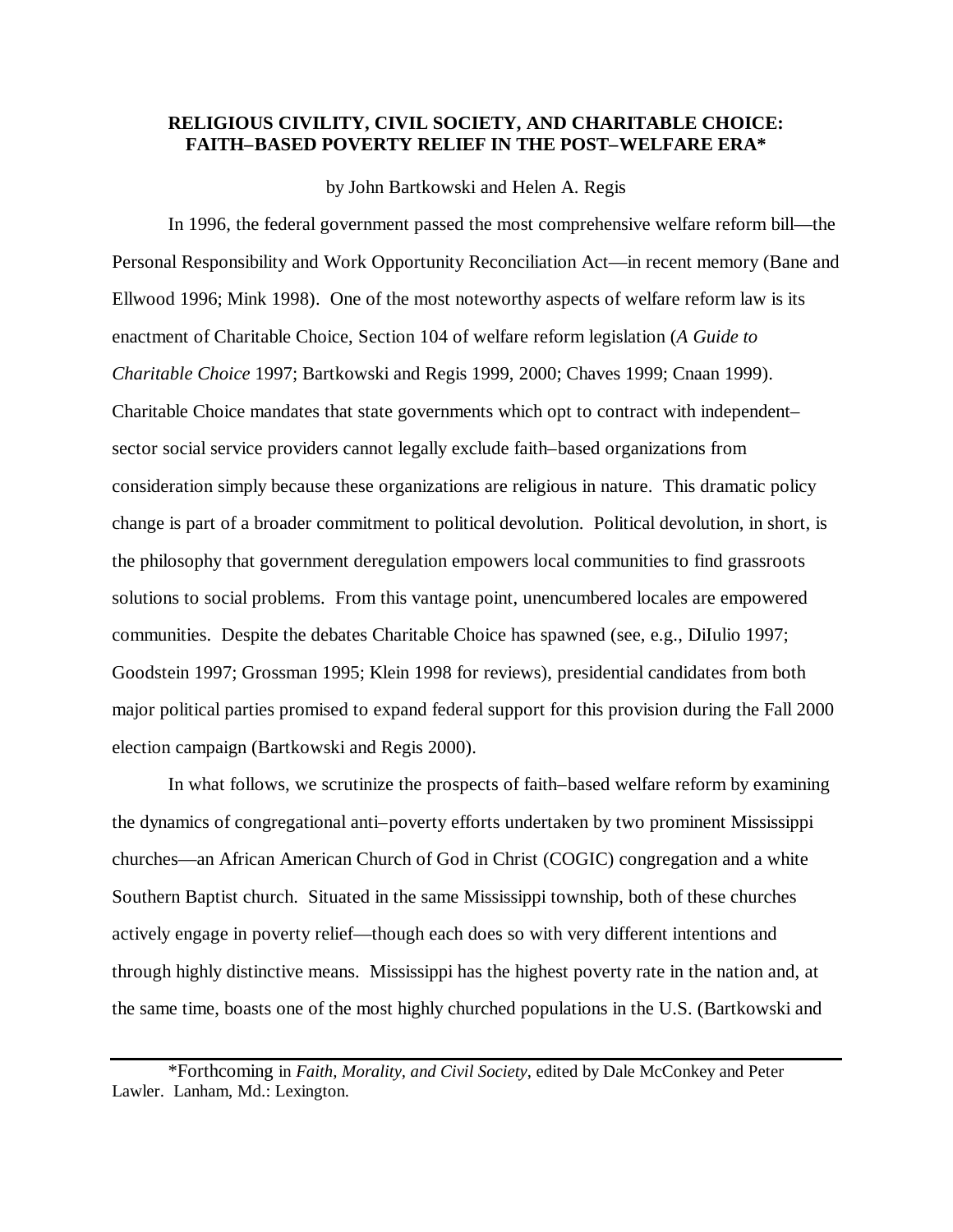## **RELIGIOUS CIVILITY, CIVIL SOCIETY, AND CHARITABLE CHOICE: FAITH–BASED POVERTY RELIEF IN THE POST–WELFARE ERA\***

by John Bartkowski and Helen A. Regis

In 1996, the federal government passed the most comprehensive welfare reform bill— the Personal Responsibility and Work Opportunity Reconciliation Act— in recent memory (Bane and Ellwood 1996; Mink 1998). One of the most noteworthy aspects of welfare reform law is its enactment of Charitable Choice, Section 104 of welfare reform legislation (*A Guide to Charitable Choice* 1997; Bartkowski and Regis 1999, 2000; Chaves 1999; Cnaan 1999). Charitable Choice mandates that state governments which opt to contract with independent– sector social service providers cannot legally exclude faith–based organizations from consideration simply because these organizations are religious in nature. This dramatic policy change is part of a broader commitment to political devolution. Political devolution, in short, is the philosophy that government deregulation empowers local communities to find grassroots solutions to social problems. From this vantage point, unencumbered locales are empowered communities. Despite the debates Charitable Choice has spawned (see, e.g., DiIulio 1997; Goodstein 1997; Grossman 1995; Klein 1998 for reviews), presidential candidates from both major political parties promised to expand federal support for this provision during the Fall 2000 election campaign (Bartkowski and Regis 2000).

In what follows, we scrutinize the prospects of faith–based welfare reform by examining the dynamics of congregational anti–poverty efforts undertaken by two prominent Mississippi churches— an African American Church of God in Christ (COGIC) congregation and a white Southern Baptist church. Situated in the same Mississippi township, both of these churches actively engage in poverty relief— though each does so with very different intentions and through highly distinctive means. Mississippi has the highest poverty rate in the nation and, at the same time, boasts one of the most highly churched populations in the U.S. (Bartkowski and

<sup>\*</sup>Forthcoming in *Faith, Morality, and Civil Society*, edited by Dale McConkey and Peter Lawler. Lanham, Md.: Lexington.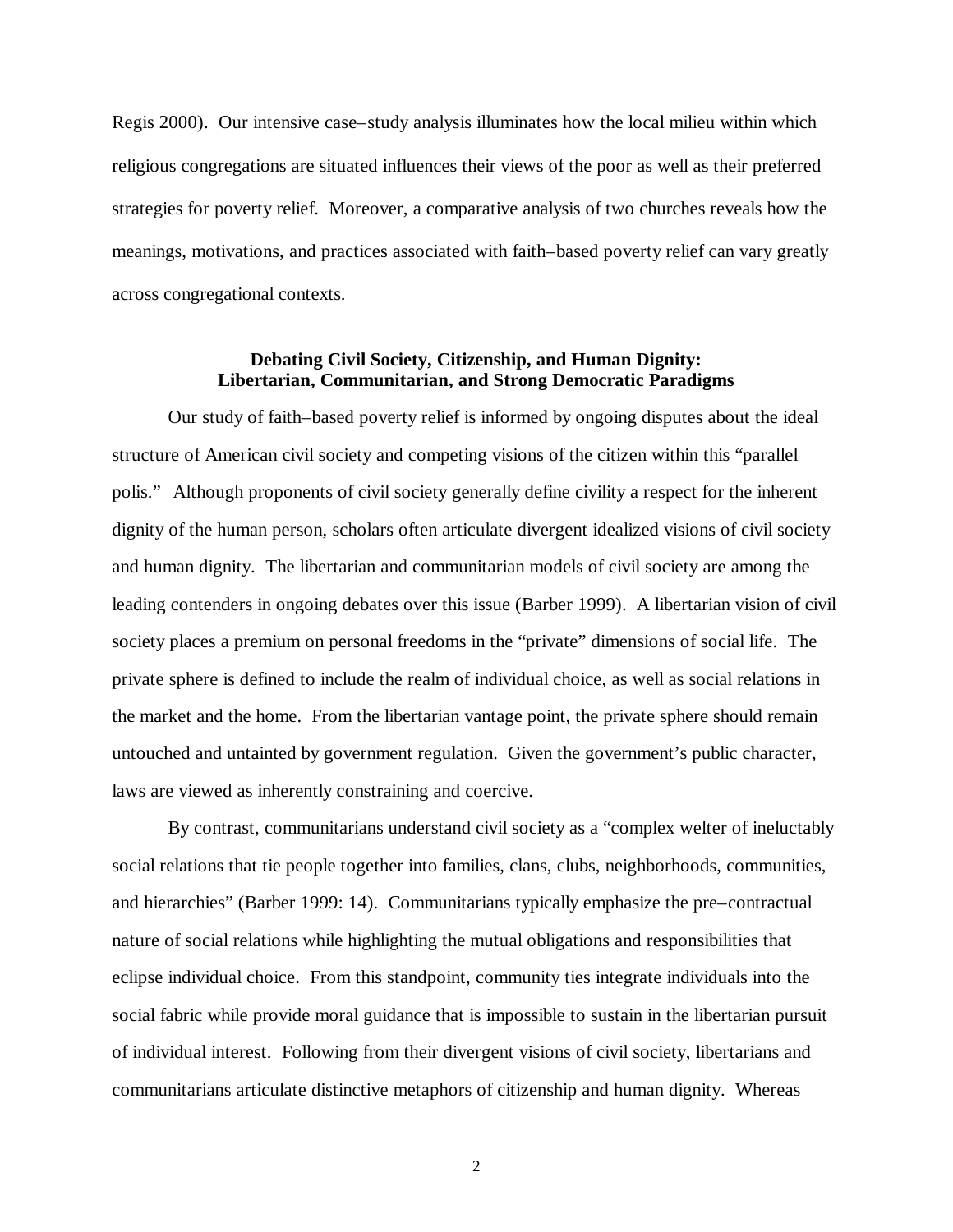Regis 2000). Our intensive case–study analysis illuminates how the local milieu within which religious congregations are situated influences their views of the poor as well as their preferred strategies for poverty relief. Moreover, a comparative analysis of two churches reveals how the meanings, motivations, and practices associated with faith–based poverty relief can vary greatly across congregational contexts.

# **Debating Civil Society, Citizenship, and Human Dignity: Libertarian, Communitarian, and Strong Democratic Paradigms**

Our study of faith–based poverty relief is informed by ongoing disputes about the ideal structure of American civil society and competing visions of the citizen within this "parallel polis." Although proponents of civil society generally define civility a respect for the inherent dignity of the human person, scholars often articulate divergent idealized visions of civil society and human dignity. The libertarian and communitarian models of civil society are among the leading contenders in ongoing debates over this issue (Barber 1999). A libertarian vision of civil society places a premium on personal freedoms in the "private" dimensions of social life. The private sphere is defined to include the realm of individual choice, as well as social relations in the market and the home. From the libertarian vantage point, the private sphere should remain untouched and untainted by government regulation. Given the government's public character, laws are viewed as inherently constraining and coercive.

By contrast, communitarians understand civil society as a "complex welter of ineluctably social relations that tie people together into families, clans, clubs, neighborhoods, communities, and hierarchies" (Barber 1999: 14). Communitarians typically emphasize the pre–contractual nature of social relations while highlighting the mutual obligations and responsibilities that eclipse individual choice. From this standpoint, community ties integrate individuals into the social fabric while provide moral guidance that is impossible to sustain in the libertarian pursuit of individual interest. Following from their divergent visions of civil society, libertarians and communitarians articulate distinctive metaphors of citizenship and human dignity. Whereas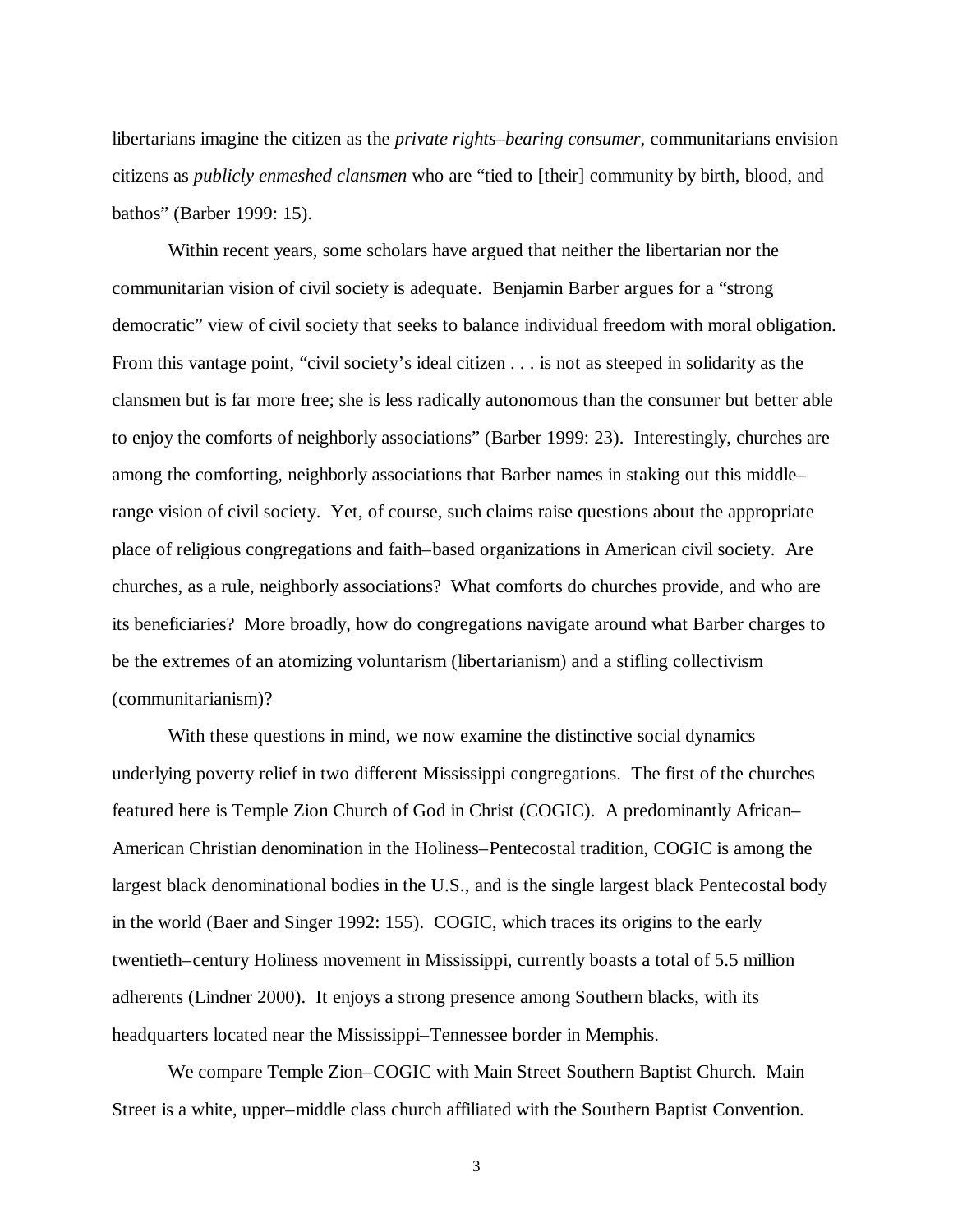libertarians imagine the citizen as the *private rights–bearing consumer*, communitarians envision citizens as *publicly enmeshed clansmen* who are "tied to [their] community by birth, blood, and bathos" (Barber 1999: 15).

Within recent years, some scholars have argued that neither the libertarian nor the communitarian vision of civil society is adequate. Benjamin Barber argues for a "strong democratic" view of civil society that seeks to balance individual freedom with moral obligation. From this vantage point, "civil society's ideal citizen . . . is not as steeped in solidarity as the clansmen but is far more free; she is less radically autonomous than the consumer but better able to enjoy the comforts of neighborly associations" (Barber 1999: 23). Interestingly, churches are among the comforting, neighborly associations that Barber names in staking out this middle– range vision of civil society. Yet, of course, such claims raise questions about the appropriate place of religious congregations and faith–based organizations in American civil society. Are churches, as a rule, neighborly associations? What comforts do churches provide, and who are its beneficiaries? More broadly, how do congregations navigate around what Barber charges to be the extremes of an atomizing voluntarism (libertarianism) and a stifling collectivism (communitarianism)?

With these questions in mind, we now examine the distinctive social dynamics underlying poverty relief in two different Mississippi congregations. The first of the churches featured here is Temple Zion Church of God in Christ (COGIC). A predominantly African– American Christian denomination in the Holiness–Pentecostal tradition, COGIC is among the largest black denominational bodies in the U.S., and is the single largest black Pentecostal body in the world (Baer and Singer 1992: 155). COGIC, which traces its origins to the early twentieth–century Holiness movement in Mississippi, currently boasts a total of 5.5 million adherents (Lindner 2000). It enjoys a strong presence among Southern blacks, with its headquarters located near the Mississippi–Tennessee border in Memphis.

We compare Temple Zion–COGIC with Main Street Southern Baptist Church. Main Street is a white, upper–middle class church affiliated with the Southern Baptist Convention.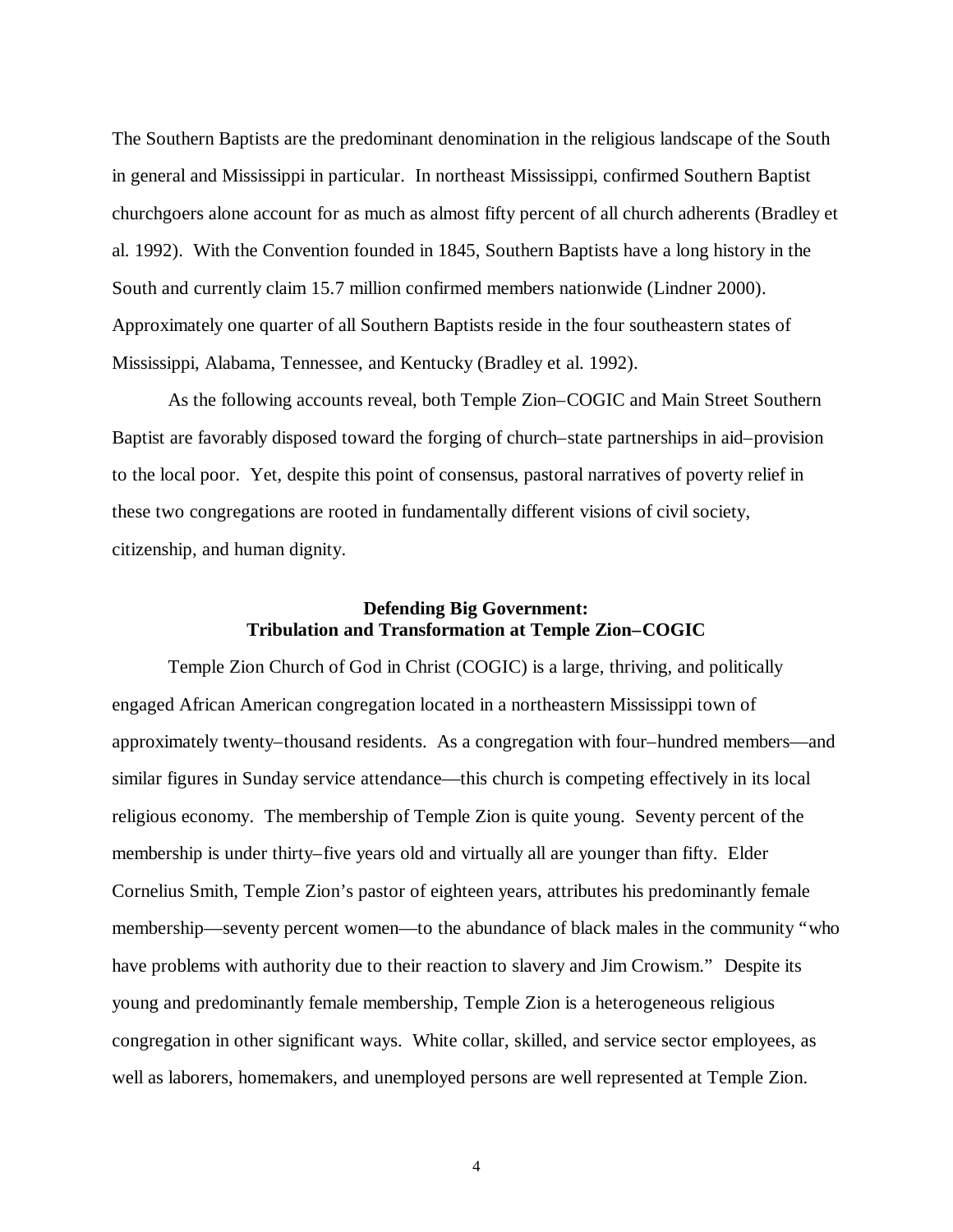The Southern Baptists are the predominant denomination in the religious landscape of the South in general and Mississippi in particular. In northeast Mississippi, confirmed Southern Baptist churchgoers alone account for as much as almost fifty percent of all church adherents (Bradley et al. 1992). With the Convention founded in 1845, Southern Baptists have a long history in the South and currently claim 15.7 million confirmed members nationwide (Lindner 2000). Approximately one quarter of all Southern Baptists reside in the four southeastern states of Mississippi, Alabama, Tennessee, and Kentucky (Bradley et al. 1992).

As the following accounts reveal, both Temple Zion–COGIC and Main Street Southern Baptist are favorably disposed toward the forging of church–state partnerships in aid–provision to the local poor. Yet, despite this point of consensus, pastoral narratives of poverty relief in these two congregations are rooted in fundamentally different visions of civil society, citizenship, and human dignity.

# **Defending Big Government: Tribulation and Transformation at Temple Zion–COGIC**

Temple Zion Church of God in Christ (COGIC) is a large, thriving, and politically engaged African American congregation located in a northeastern Mississippi town of approximately twenty–thousand residents. As a congregation with four–hundred members— and similar figures in Sunday service attendance— this church is competing effectively in its local religious economy. The membership of Temple Zion is quite young. Seventy percent of the membership is under thirty–five years old and virtually all are younger than fifty. Elder Cornelius Smith, Temple Zion's pastor of eighteen years, attributes his predominantly female membership— seventy percent women— to the abundance of black males in the community "who have problems with authority due to their reaction to slavery and Jim Crowism." Despite its young and predominantly female membership, Temple Zion is a heterogeneous religious congregation in other significant ways. White collar, skilled, and service sector employees, as well as laborers, homemakers, and unemployed persons are well represented at Temple Zion.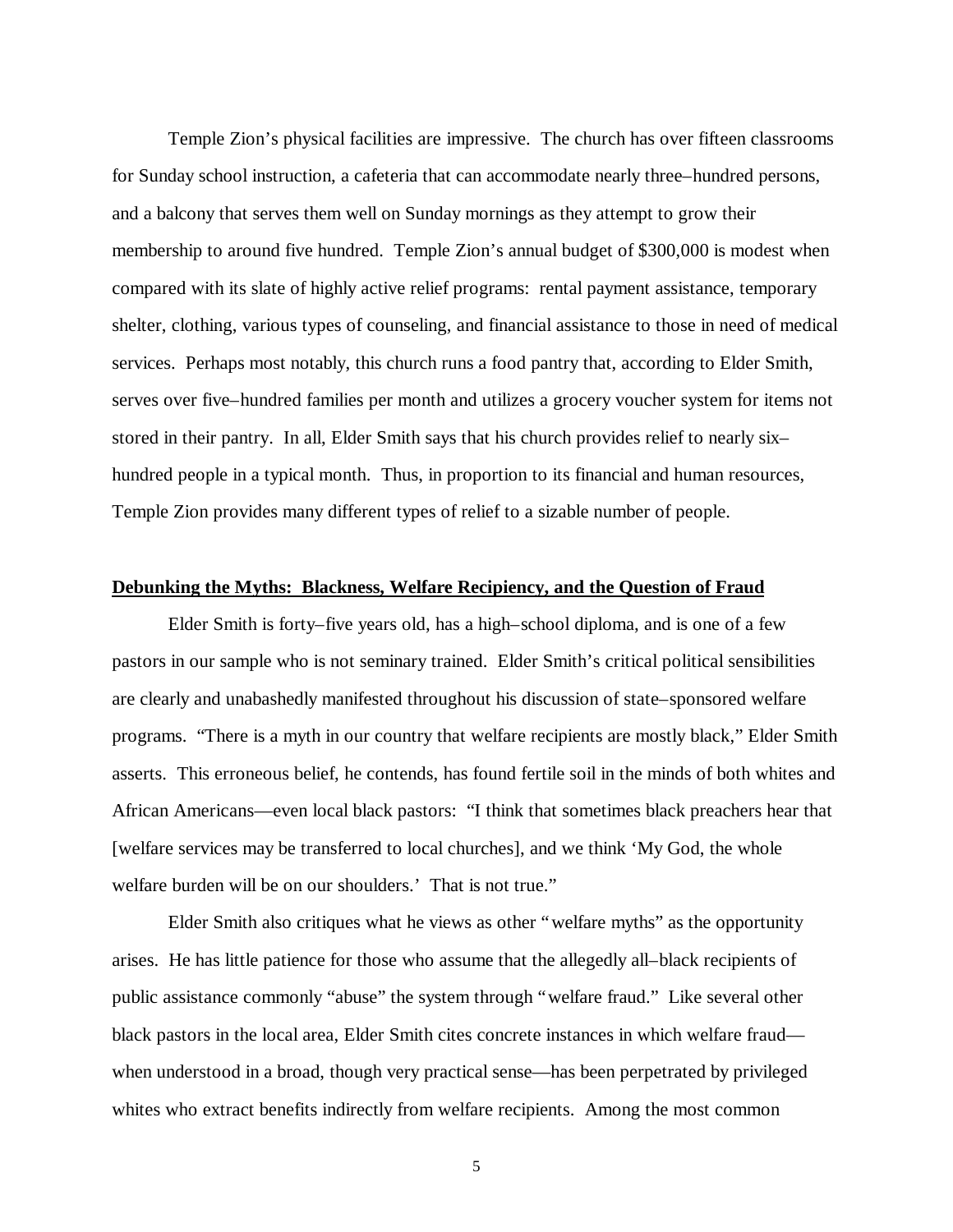Temple Zion's physical facilities are impressive. The church has over fifteen classrooms for Sunday school instruction, a cafeteria that can accommodate nearly three–hundred persons, and a balcony that serves them well on Sunday mornings as they attempt to grow their membership to around five hundred. Temple Zion's annual budget of \$300,000 is modest when compared with its slate of highly active relief programs: rental payment assistance, temporary shelter, clothing, various types of counseling, and financial assistance to those in need of medical services. Perhaps most notably, this church runs a food pantry that, according to Elder Smith, serves over five–hundred families per month and utilizes a grocery voucher system for items not stored in their pantry. In all, Elder Smith says that his church provides relief to nearly six– hundred people in a typical month. Thus, in proportion to its financial and human resources, Temple Zion provides many different types of relief to a sizable number of people.

# **Debunking the Myths: Blackness, Welfare Recipiency, and the Question of Fraud**

Elder Smith is forty–five years old, has a high–school diploma, and is one of a few pastors in our sample who is not seminary trained. Elder Smith's critical political sensibilities are clearly and unabashedly manifested throughout his discussion of state–sponsored welfare programs. "There is a myth in our country that welfare recipients are mostly black," Elder Smith asserts. This erroneous belief, he contends, has found fertile soil in the minds of both whites and African Americans— even local black pastors: "I think that sometimes black preachers hear that [welfare services may be transferred to local churches], and we think 'My God, the whole welfare burden will be on our shoulders.' That is not true."

Elder Smith also critiques what he views as other "welfare myths" as the opportunity arises. He has little patience for those who assume that the allegedly all–black recipients of public assistance commonly "abuse" the system through "welfare fraud." Like several other black pastors in the local area, Elder Smith cites concrete instances in which welfare fraud when understood in a broad, though very practical sense— has been perpetrated by privileged whites who extract benefits indirectly from welfare recipients. Among the most common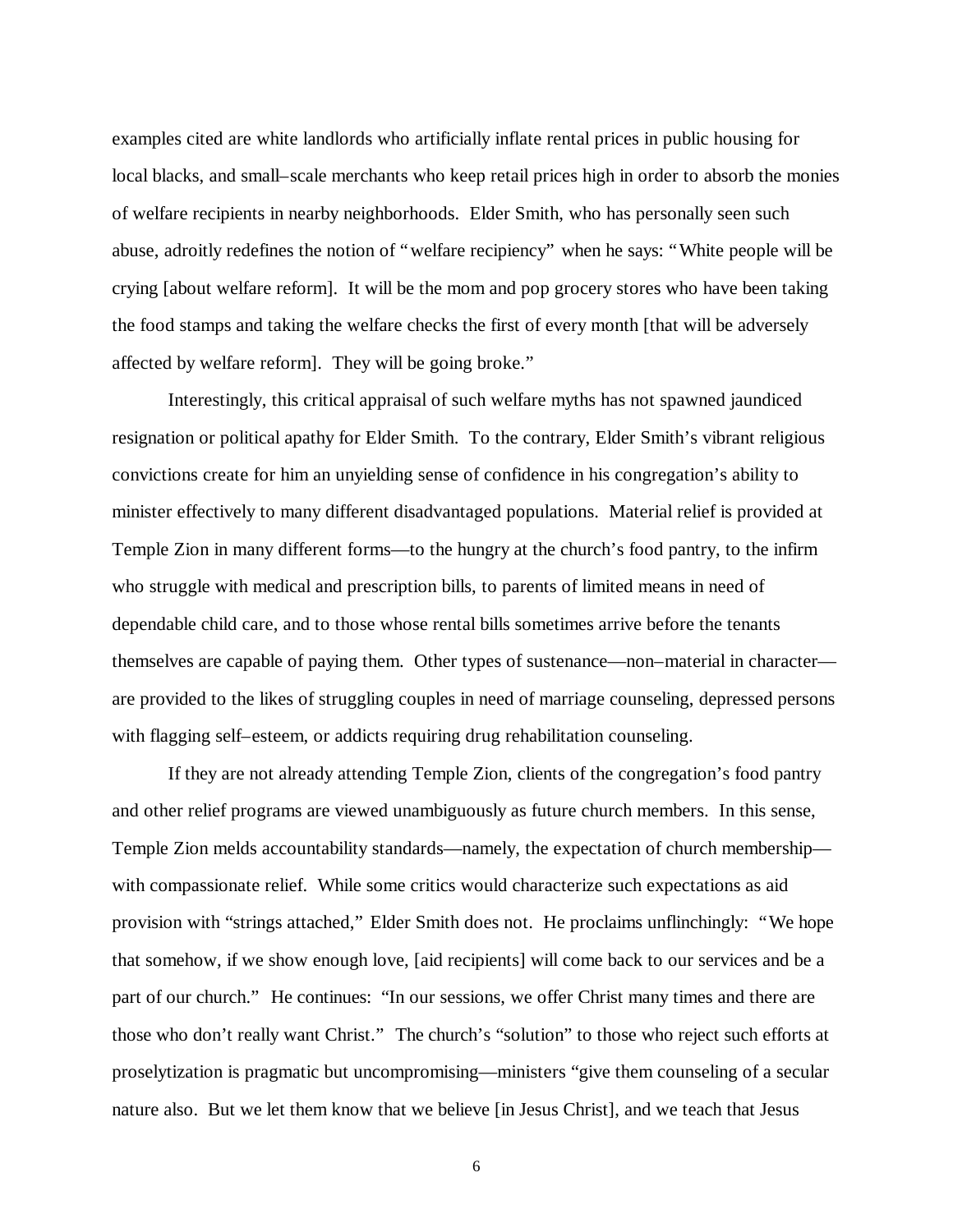examples cited are white landlords who artificially inflate rental prices in public housing for local blacks, and small–scale merchants who keep retail prices high in order to absorb the monies of welfare recipients in nearby neighborhoods. Elder Smith, who has personally seen such abuse, adroitly redefines the notion of "welfare recipiency" when he says: "White people will be crying [about welfare reform]. It will be the mom and pop grocery stores who have been taking the food stamps and taking the welfare checks the first of every month [that will be adversely affected by welfare reform]. They will be going broke."

Interestingly, this critical appraisal of such welfare myths has not spawned jaundiced resignation or political apathy for Elder Smith. To the contrary, Elder Smith's vibrant religious convictions create for him an unyielding sense of confidence in his congregation's ability to minister effectively to many different disadvantaged populations. Material relief is provided at Temple Zion in many different forms— to the hungry at the church's food pantry, to the infirm who struggle with medical and prescription bills, to parents of limited means in need of dependable child care, and to those whose rental bills sometimes arrive before the tenants themselves are capable of paying them. Other types of sustenance— non–material in character are provided to the likes of struggling couples in need of marriage counseling, depressed persons with flagging self–esteem, or addicts requiring drug rehabilitation counseling.

If they are not already attending Temple Zion, clients of the congregation's food pantry and other relief programs are viewed unambiguously as future church members. In this sense, Temple Zion melds accountability standards— namely, the expectation of church membership with compassionate relief. While some critics would characterize such expectations as aid provision with "strings attached," Elder Smith does not. He proclaims unflinchingly: "We hope that somehow, if we show enough love, [aid recipients] will come back to our services and be a part of our church." He continues: "In our sessions, we offer Christ many times and there are those who don't really want Christ." The church's "solution" to those who reject such efforts at proselytization is pragmatic but uncompromising— ministers "give them counseling of a secular nature also. But we let them know that we believe [in Jesus Christ], and we teach that Jesus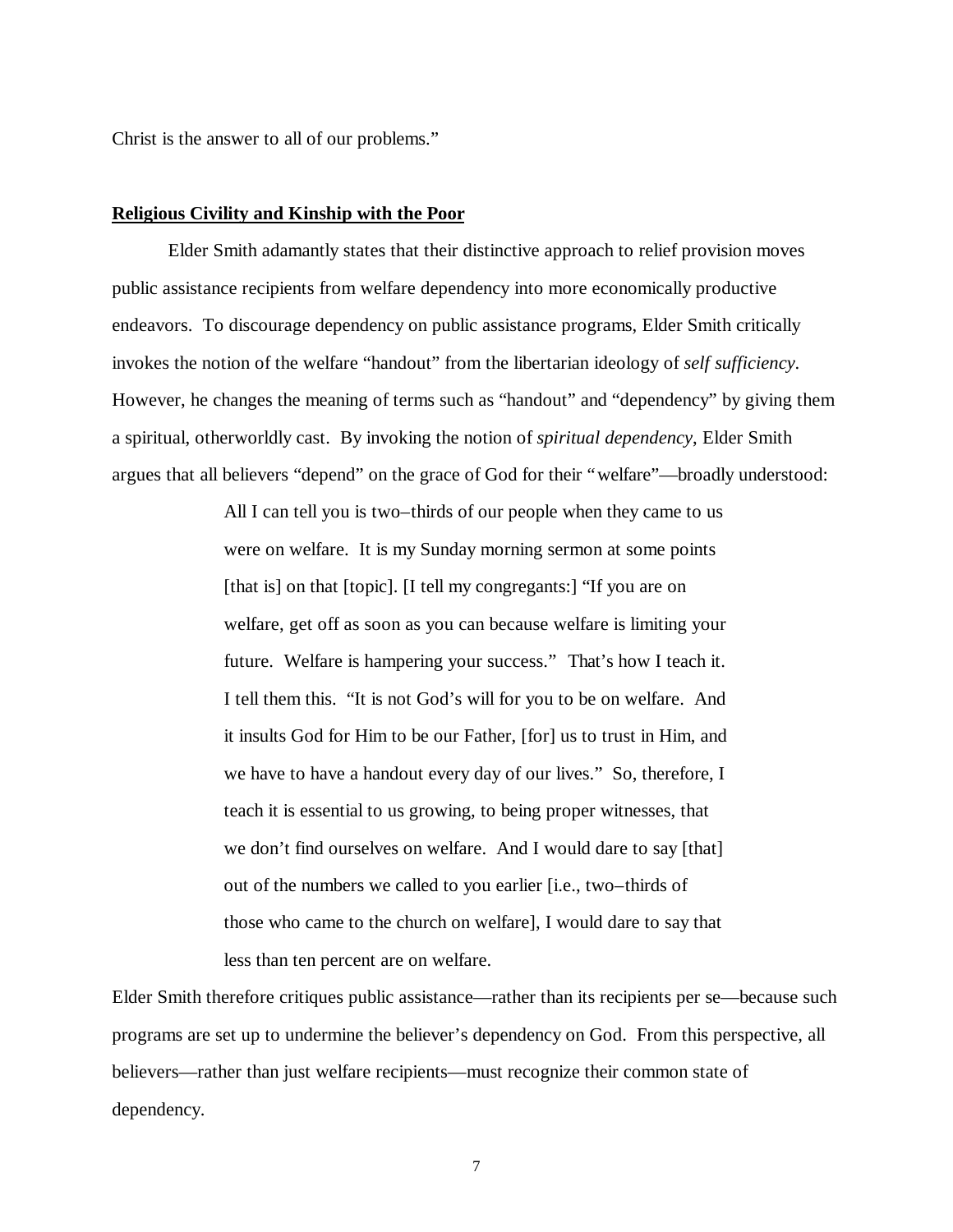Christ is the answer to all of our problems."

## **Religious Civility and Kinship with the Poor**

Elder Smith adamantly states that their distinctive approach to relief provision moves public assistance recipients from welfare dependency into more economically productive endeavors. To discourage dependency on public assistance programs, Elder Smith critically invokes the notion of the welfare "handout" from the libertarian ideology of *self sufficiency*. However, he changes the meaning of terms such as "handout" and "dependency" by giving them a spiritual, otherworldly cast. By invoking the notion of *spiritual dependency*, Elder Smith argues that all believers "depend" on the grace of God for their "welfare"— broadly understood:

> All I can tell you is two–thirds of our people when they came to us were on welfare. It is my Sunday morning sermon at some points [that is] on that [topic]. [I tell my congregants:] "If you are on welfare, get off as soon as you can because welfare is limiting your future. Welfare is hampering your success." That's how I teach it. I tell them this. "It is not God's will for you to be on welfare. And it insults God for Him to be our Father, [for] us to trust in Him, and we have to have a handout every day of our lives." So, therefore, I teach it is essential to us growing, to being proper witnesses, that we don't find ourselves on welfare. And I would dare to say [that] out of the numbers we called to you earlier [i.e., two–thirds of those who came to the church on welfare], I would dare to say that less than ten percent are on welfare.

Elder Smith therefore critiques public assistance— rather than its recipients per se— because such programs are set up to undermine the believer's dependency on God. From this perspective, all believers— rather than just welfare recipients— must recognize their common state of dependency.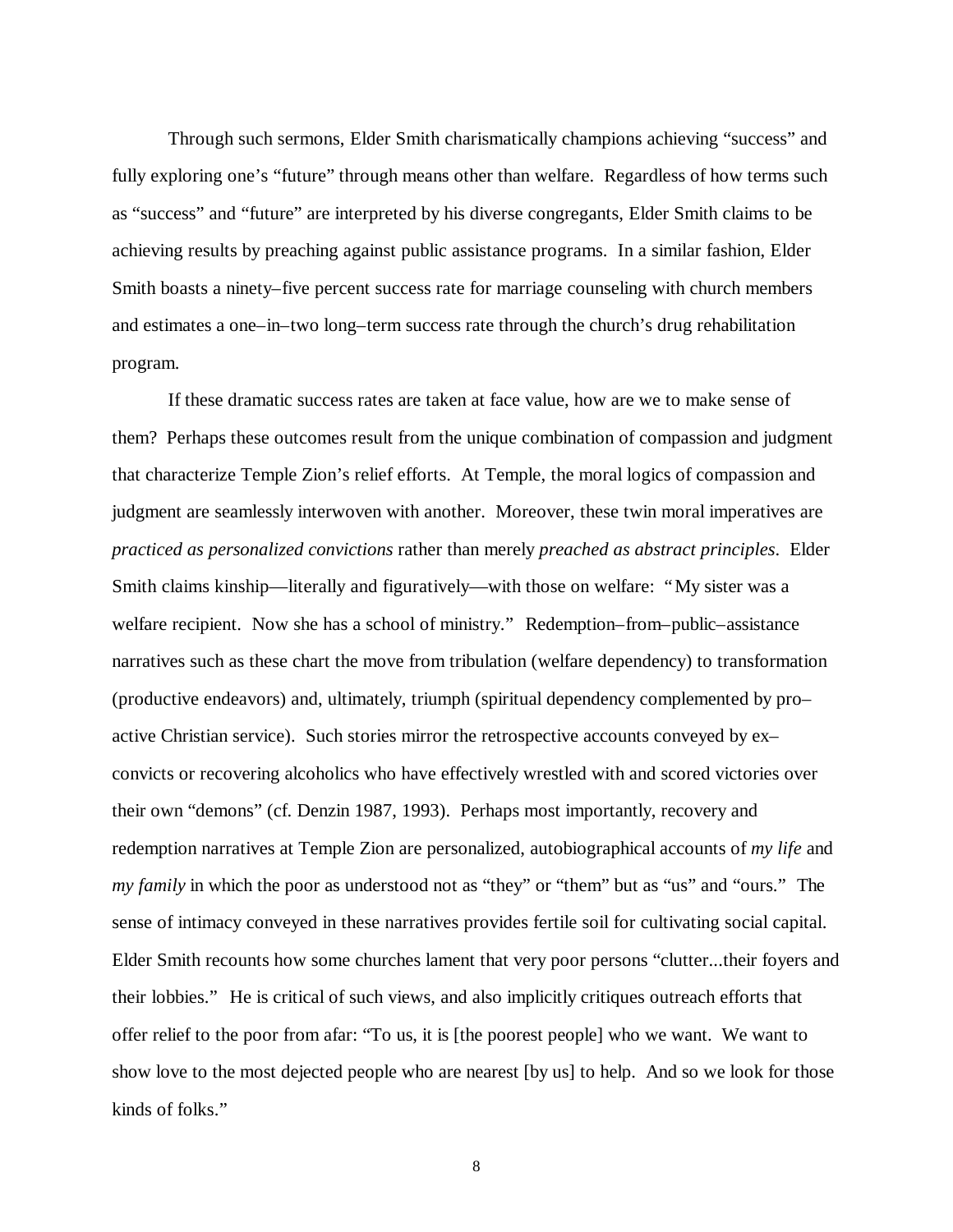Through such sermons, Elder Smith charismatically champions achieving "success" and fully exploring one's "future" through means other than welfare. Regardless of how terms such as "success" and "future" are interpreted by his diverse congregants, Elder Smith claims to be achieving results by preaching against public assistance programs. In a similar fashion, Elder Smith boasts a ninety–five percent success rate for marriage counseling with church members and estimates a one–in–two long–term success rate through the church's drug rehabilitation program.

If these dramatic success rates are taken at face value, how are we to make sense of them? Perhaps these outcomes result from the unique combination of compassion and judgment that characterize Temple Zion's relief efforts. At Temple, the moral logics of compassion and judgment are seamlessly interwoven with another. Moreover, these twin moral imperatives are *practiced as personalized convictions* rather than merely *preached as abstract principles*. Elder Smith claims kinship— literally and figuratively— with those on welfare: "My sister was a welfare recipient. Now she has a school of ministry." Redemption–from–public–assistance narratives such as these chart the move from tribulation (welfare dependency) to transformation (productive endeavors) and, ultimately, triumph (spiritual dependency complemented by pro– active Christian service). Such stories mirror the retrospective accounts conveyed by ex– convicts or recovering alcoholics who have effectively wrestled with and scored victories over their own "demons" (cf. Denzin 1987, 1993). Perhaps most importantly, recovery and redemption narratives at Temple Zion are personalized, autobiographical accounts of *my life* and *my family* in which the poor as understood not as "they" or "them" but as "us" and "ours." The sense of intimacy conveyed in these narratives provides fertile soil for cultivating social capital. Elder Smith recounts how some churches lament that very poor persons "clutter...their foyers and their lobbies." He is critical of such views, and also implicitly critiques outreach efforts that offer relief to the poor from afar: "To us, it is [the poorest people] who we want. We want to show love to the most dejected people who are nearest [by us] to help. And so we look for those kinds of folks."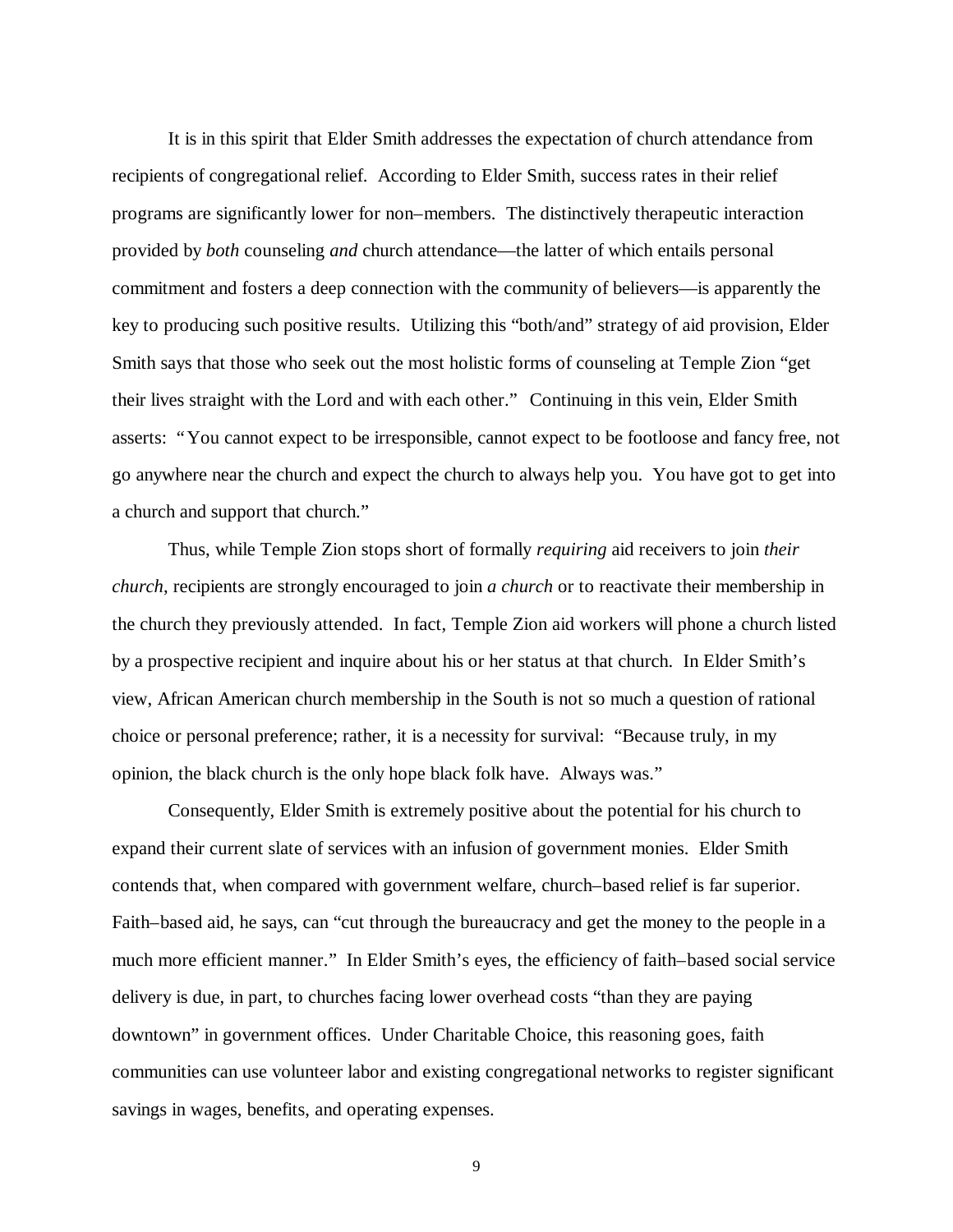It is in this spirit that Elder Smith addresses the expectation of church attendance from recipients of congregational relief. According to Elder Smith, success rates in their relief programs are significantly lower for non–members. The distinctively therapeutic interaction provided by *both* counseling *and* church attendance— the latter of which entails personal commitment and fosters a deep connection with the community of believers— is apparently the key to producing such positive results. Utilizing this "both/and" strategy of aid provision, Elder Smith says that those who seek out the most holistic forms of counseling at Temple Zion "get their lives straight with the Lord and with each other." Continuing in this vein, Elder Smith asserts: "You cannot expect to be irresponsible, cannot expect to be footloose and fancy free, not go anywhere near the church and expect the church to always help you. You have got to get into a church and support that church."

Thus, while Temple Zion stops short of formally *requiring* aid receivers to join *their church*, recipients are strongly encouraged to join *a church* or to reactivate their membership in the church they previously attended. In fact, Temple Zion aid workers will phone a church listed by a prospective recipient and inquire about his or her status at that church. In Elder Smith's view, African American church membership in the South is not so much a question of rational choice or personal preference; rather, it is a necessity for survival: "Because truly, in my opinion, the black church is the only hope black folk have. Always was."

Consequently, Elder Smith is extremely positive about the potential for his church to expand their current slate of services with an infusion of government monies. Elder Smith contends that, when compared with government welfare, church–based relief is far superior. Faith–based aid, he says, can "cut through the bureaucracy and get the money to the people in a much more efficient manner." In Elder Smith's eyes, the efficiency of faith–based social service delivery is due, in part, to churches facing lower overhead costs "than they are paying downtown" in government offices. Under Charitable Choice, this reasoning goes, faith communities can use volunteer labor and existing congregational networks to register significant savings in wages, benefits, and operating expenses.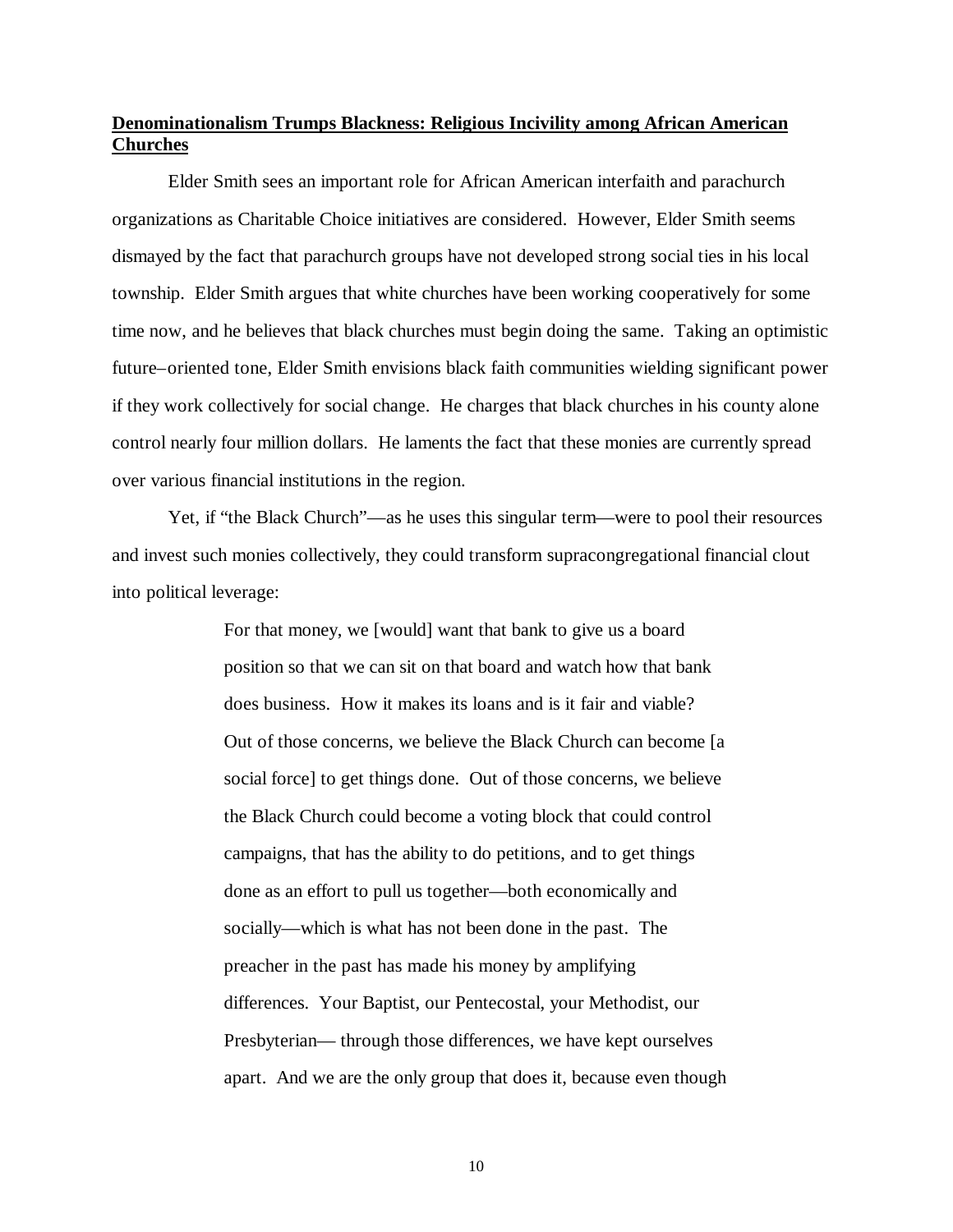# **Denominationalism Trumps Blackness: Religious Incivility among African American Churches**

Elder Smith sees an important role for African American interfaith and parachurch organizations as Charitable Choice initiatives are considered. However, Elder Smith seems dismayed by the fact that parachurch groups have not developed strong social ties in his local township. Elder Smith argues that white churches have been working cooperatively for some time now, and he believes that black churches must begin doing the same. Taking an optimistic future–oriented tone, Elder Smith envisions black faith communities wielding significant power if they work collectively for social change. He charges that black churches in his county alone control nearly four million dollars. He laments the fact that these monies are currently spread over various financial institutions in the region.

Yet, if "the Black Church"— as he uses this singular term— were to pool their resources and invest such monies collectively, they could transform supracongregational financial clout into political leverage:

> For that money, we [would] want that bank to give us a board position so that we can sit on that board and watch how that bank does business. How it makes its loans and is it fair and viable? Out of those concerns, we believe the Black Church can become [a social force] to get things done. Out of those concerns, we believe the Black Church could become a voting block that could control campaigns, that has the ability to do petitions, and to get things done as an effort to pull us together— both economically and socially— which is what has not been done in the past. The preacher in the past has made his money by amplifying differences. Your Baptist, our Pentecostal, your Methodist, our Presbyterian— through those differences, we have kept ourselves apart. And we are the only group that does it, because even though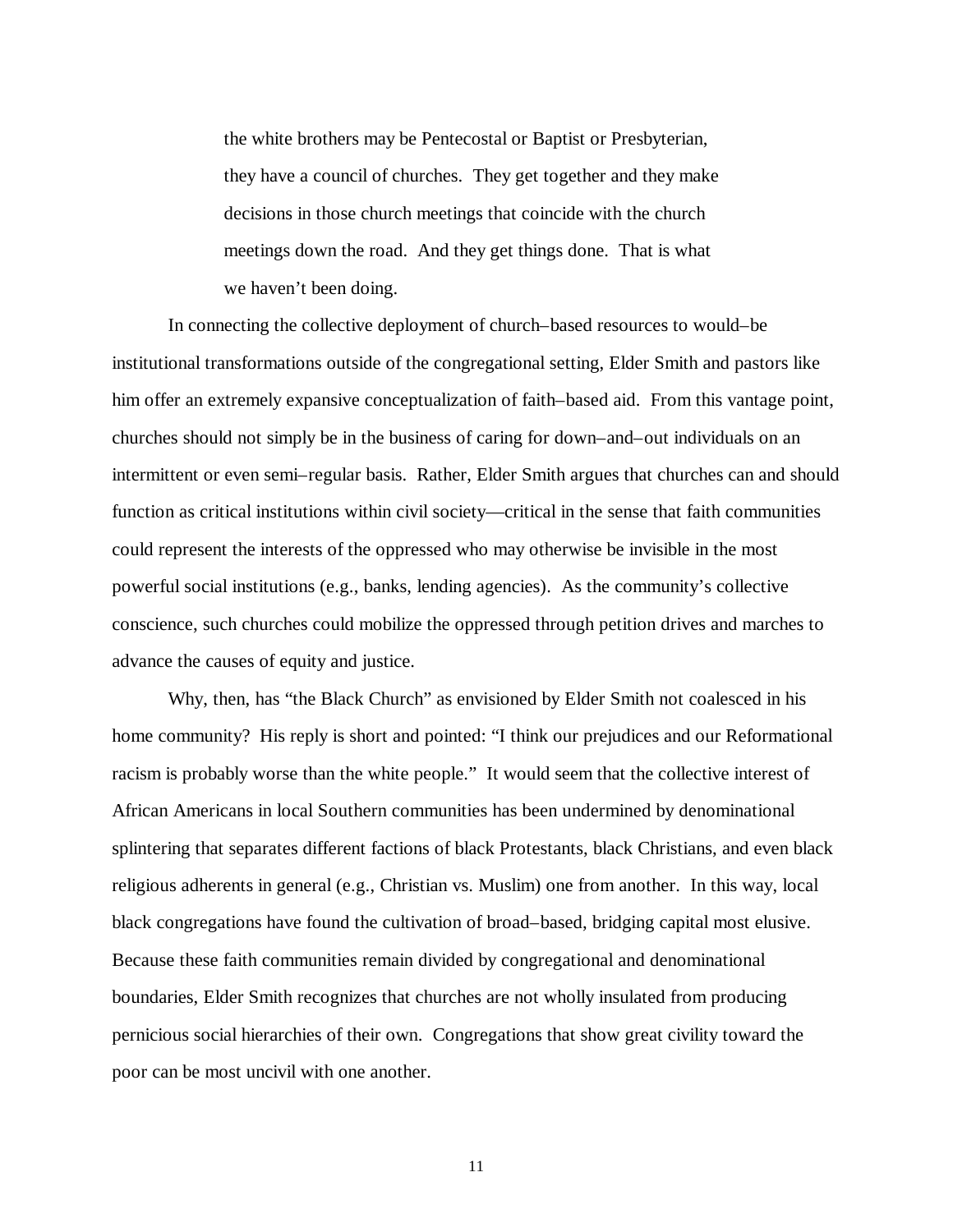the white brothers may be Pentecostal or Baptist or Presbyterian, they have a council of churches. They get together and they make decisions in those church meetings that coincide with the church meetings down the road. And they get things done. That is what we haven't been doing.

In connecting the collective deployment of church–based resources to would–be institutional transformations outside of the congregational setting, Elder Smith and pastors like him offer an extremely expansive conceptualization of faith–based aid. From this vantage point, churches should not simply be in the business of caring for down–and–out individuals on an intermittent or even semi–regular basis. Rather, Elder Smith argues that churches can and should function as critical institutions within civil society— critical in the sense that faith communities could represent the interests of the oppressed who may otherwise be invisible in the most powerful social institutions (e.g., banks, lending agencies). As the community's collective conscience, such churches could mobilize the oppressed through petition drives and marches to advance the causes of equity and justice.

Why, then, has "the Black Church" as envisioned by Elder Smith not coalesced in his home community? His reply is short and pointed: "I think our prejudices and our Reformational racism is probably worse than the white people." It would seem that the collective interest of African Americans in local Southern communities has been undermined by denominational splintering that separates different factions of black Protestants, black Christians, and even black religious adherents in general (e.g., Christian vs. Muslim) one from another. In this way, local black congregations have found the cultivation of broad–based, bridging capital most elusive. Because these faith communities remain divided by congregational and denominational boundaries, Elder Smith recognizes that churches are not wholly insulated from producing pernicious social hierarchies of their own. Congregations that show great civility toward the poor can be most uncivil with one another.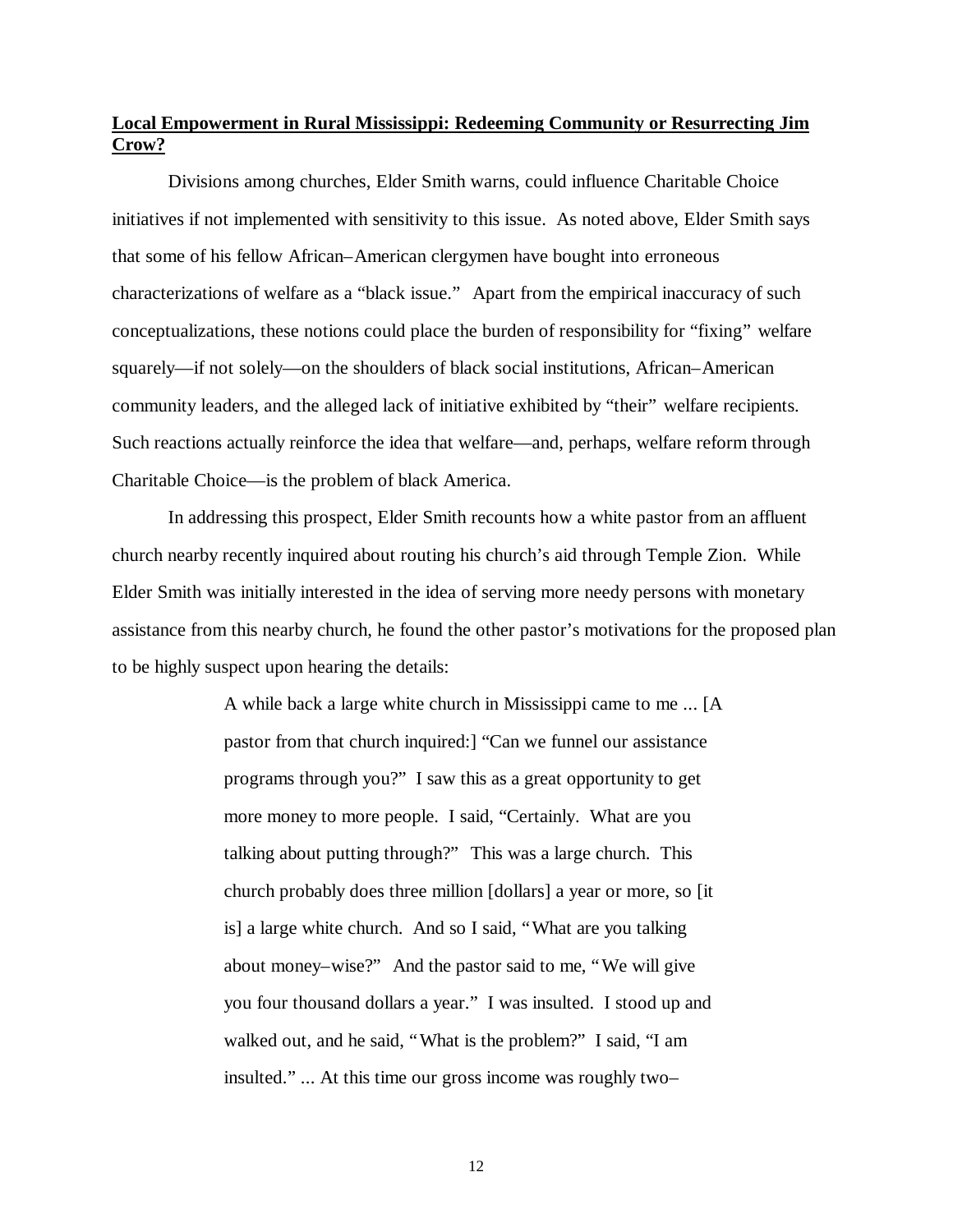# **Local Empowerment in Rural Mississippi: Redeeming Community or Resurrecting Jim Crow?**

Divisions among churches, Elder Smith warns, could influence Charitable Choice initiatives if not implemented with sensitivity to this issue. As noted above, Elder Smith says that some of his fellow African–American clergymen have bought into erroneous characterizations of welfare as a "black issue." Apart from the empirical inaccuracy of such conceptualizations, these notions could place the burden of responsibility for "fixing" welfare squarely— if not solely— on the shoulders of black social institutions, African–American community leaders, and the alleged lack of initiative exhibited by "their" welfare recipients. Such reactions actually reinforce the idea that welfare— and, perhaps, welfare reform through Charitable Choice— is the problem of black America.

In addressing this prospect, Elder Smith recounts how a white pastor from an affluent church nearby recently inquired about routing his church's aid through Temple Zion. While Elder Smith was initially interested in the idea of serving more needy persons with monetary assistance from this nearby church, he found the other pastor's motivations for the proposed plan to be highly suspect upon hearing the details:

> A while back a large white church in Mississippi came to me ... [A pastor from that church inquired:] "Can we funnel our assistance programs through you?" I saw this as a great opportunity to get more money to more people. I said, "Certainly. What are you talking about putting through?" This was a large church. This church probably does three million [dollars] a year or more, so [it is] a large white church. And so I said, "What are you talking about money–wise?" And the pastor said to me, "We will give you four thousand dollars a year." I was insulted. I stood up and walked out, and he said, "What is the problem?" I said, "I am insulted." ... At this time our gross income was roughly two–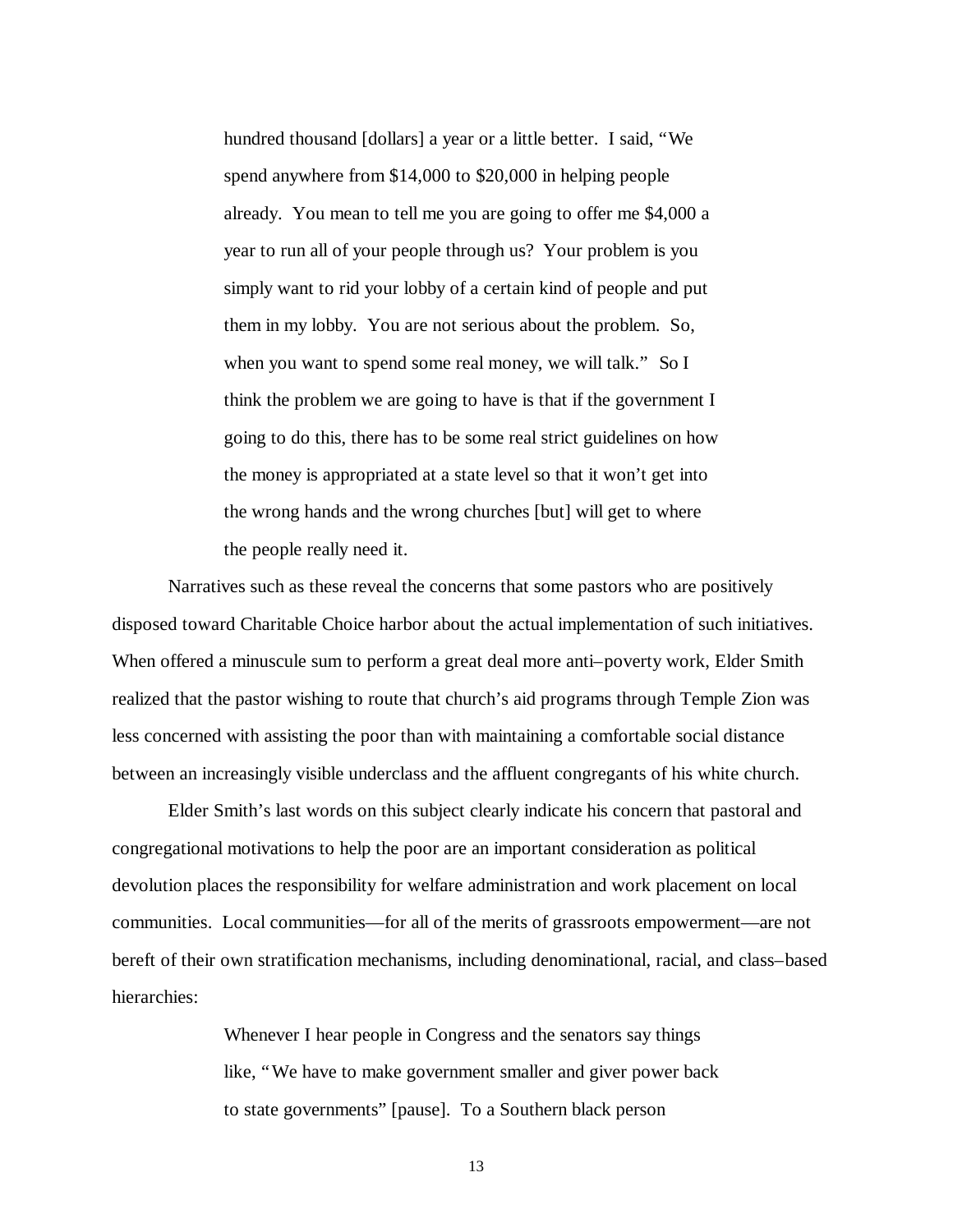hundred thousand [dollars] a year or a little better. I said, "We spend anywhere from \$14,000 to \$20,000 in helping people already. You mean to tell me you are going to offer me \$4,000 a year to run all of your people through us? Your problem is you simply want to rid your lobby of a certain kind of people and put them in my lobby. You are not serious about the problem. So, when you want to spend some real money, we will talk." So I think the problem we are going to have is that if the government I going to do this, there has to be some real strict guidelines on how the money is appropriated at a state level so that it won't get into the wrong hands and the wrong churches [but] will get to where the people really need it.

Narratives such as these reveal the concerns that some pastors who are positively disposed toward Charitable Choice harbor about the actual implementation of such initiatives. When offered a minuscule sum to perform a great deal more anti–poverty work, Elder Smith realized that the pastor wishing to route that church's aid programs through Temple Zion was less concerned with assisting the poor than with maintaining a comfortable social distance between an increasingly visible underclass and the affluent congregants of his white church.

Elder Smith's last words on this subject clearly indicate his concern that pastoral and congregational motivations to help the poor are an important consideration as political devolution places the responsibility for welfare administration and work placement on local communities. Local communities— for all of the merits of grassroots empowerment— are not bereft of their own stratification mechanisms, including denominational, racial, and class–based hierarchies:

> Whenever I hear people in Congress and the senators say things like, "We have to make government smaller and giver power back to state governments" [pause]. To a Southern black person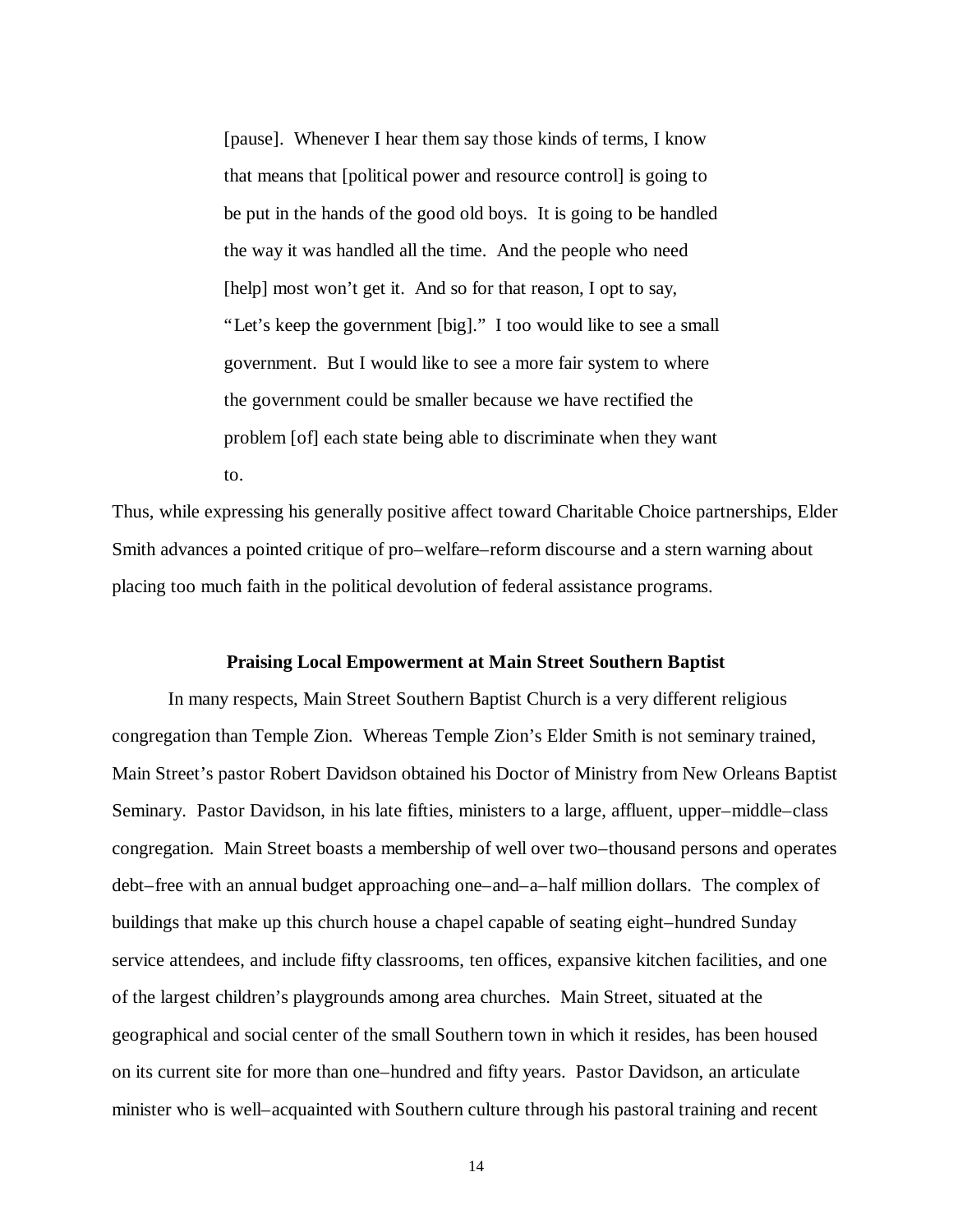[pause]. Whenever I hear them say those kinds of terms, I know that means that [political power and resource control] is going to be put in the hands of the good old boys. It is going to be handled the way it was handled all the time. And the people who need [help] most won't get it. And so for that reason, I opt to say, "Let's keep the government [big]." I too would like to see a small government. But I would like to see a more fair system to where the government could be smaller because we have rectified the problem [of] each state being able to discriminate when they want to.

Thus, while expressing his generally positive affect toward Charitable Choice partnerships, Elder Smith advances a pointed critique of pro–welfare–reform discourse and a stern warning about placing too much faith in the political devolution of federal assistance programs.

#### **Praising Local Empowerment at Main Street Southern Baptist**

In many respects, Main Street Southern Baptist Church is a very different religious congregation than Temple Zion. Whereas Temple Zion's Elder Smith is not seminary trained, Main Street's pastor Robert Davidson obtained his Doctor of Ministry from New Orleans Baptist Seminary. Pastor Davidson, in his late fifties, ministers to a large, affluent, upper–middle–class congregation. Main Street boasts a membership of well over two–thousand persons and operates debt–free with an annual budget approaching one–and–a–half million dollars. The complex of buildings that make up this church house a chapel capable of seating eight–hundred Sunday service attendees, and include fifty classrooms, ten offices, expansive kitchen facilities, and one of the largest children's playgrounds among area churches. Main Street, situated at the geographical and social center of the small Southern town in which it resides, has been housed on its current site for more than one–hundred and fifty years. Pastor Davidson, an articulate minister who is well–acquainted with Southern culture through his pastoral training and recent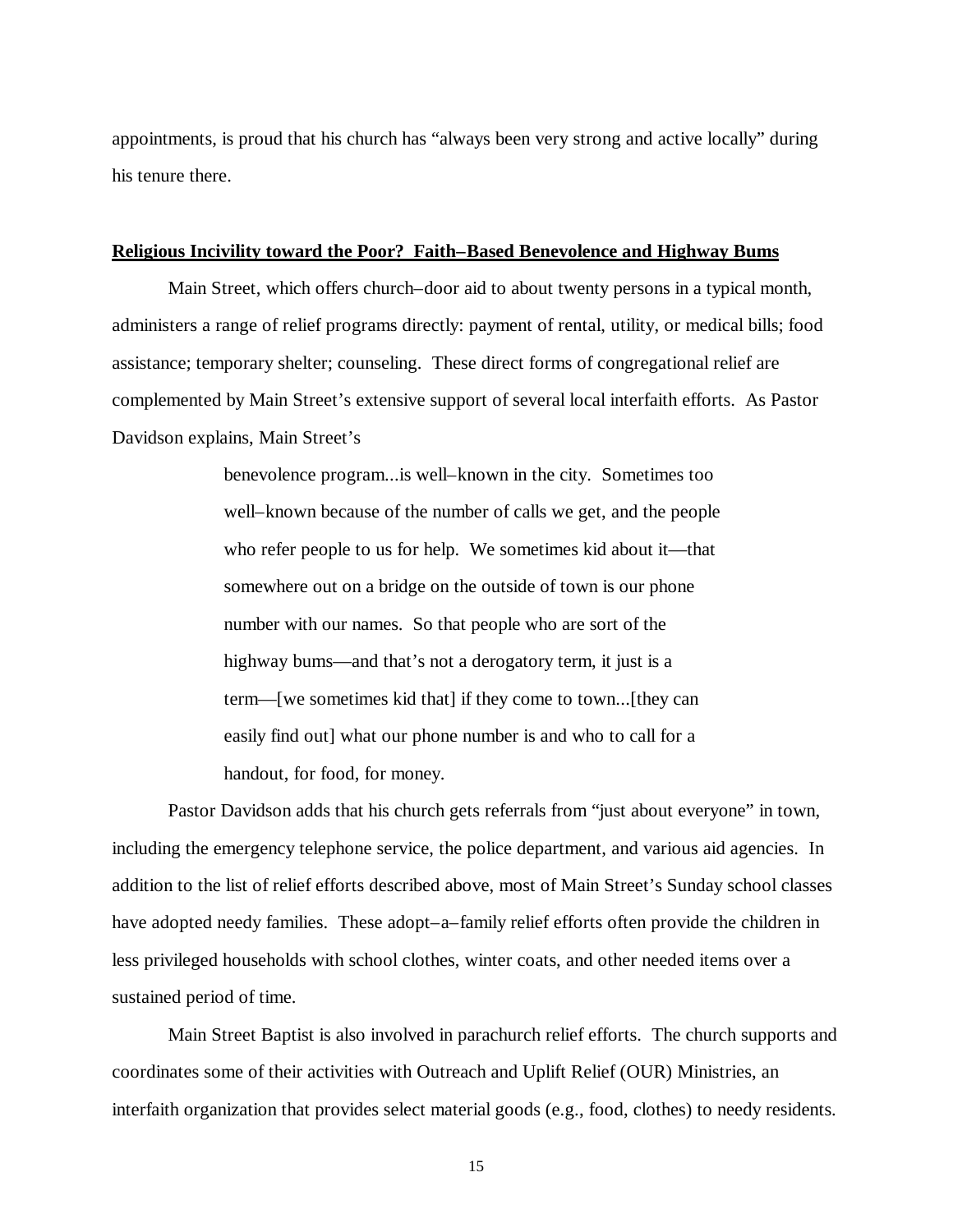appointments, is proud that his church has "always been very strong and active locally" during his tenure there.

### **Religious Incivility toward the Poor? Faith–Based Benevolence and Highway Bums**

Main Street, which offers church–door aid to about twenty persons in a typical month, administers a range of relief programs directly: payment of rental, utility, or medical bills; food assistance; temporary shelter; counseling. These direct forms of congregational relief are complemented by Main Street's extensive support of several local interfaith efforts. As Pastor Davidson explains, Main Street's

> benevolence program...is well–known in the city. Sometimes too well–known because of the number of calls we get, and the people who refer people to us for help. We sometimes kid about it— that somewhere out on a bridge on the outside of town is our phone number with our names. So that people who are sort of the highway bums—and that's not a derogatory term, it just is a term— [we sometimes kid that] if they come to town...[they can easily find out] what our phone number is and who to call for a handout, for food, for money.

Pastor Davidson adds that his church gets referrals from "just about everyone" in town, including the emergency telephone service, the police department, and various aid agencies. In addition to the list of relief efforts described above, most of Main Street's Sunday school classes have adopted needy families. These adopt–a–family relief efforts often provide the children in less privileged households with school clothes, winter coats, and other needed items over a sustained period of time.

Main Street Baptist is also involved in parachurch relief efforts. The church supports and coordinates some of their activities with Outreach and Uplift Relief (OUR) Ministries, an interfaith organization that provides select material goods (e.g., food, clothes) to needy residents.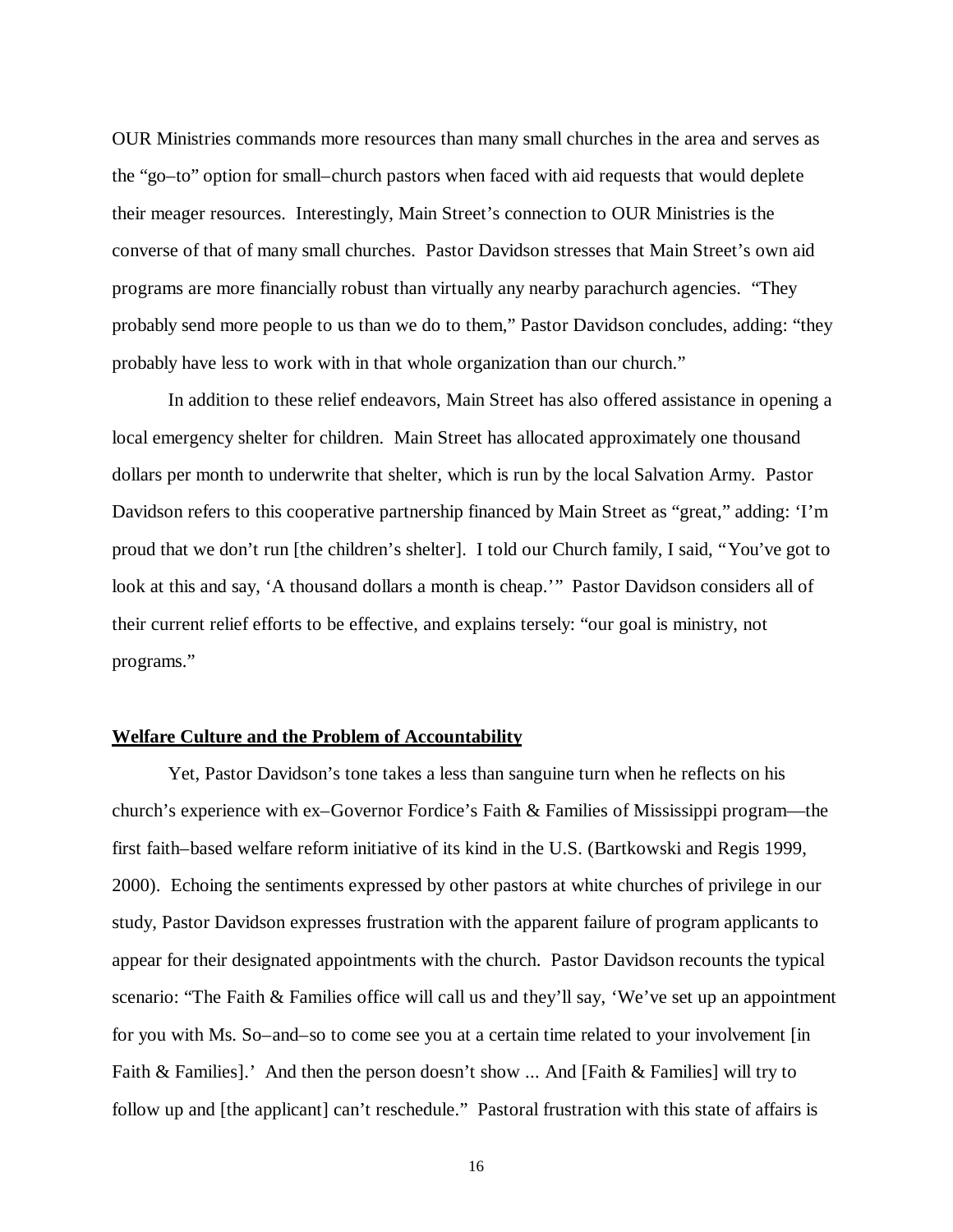OUR Ministries commands more resources than many small churches in the area and serves as the "go–to" option for small–church pastors when faced with aid requests that would deplete their meager resources. Interestingly, Main Street's connection to OUR Ministries is the converse of that of many small churches. Pastor Davidson stresses that Main Street's own aid programs are more financially robust than virtually any nearby parachurch agencies. "They probably send more people to us than we do to them," Pastor Davidson concludes, adding: "they probably have less to work with in that whole organization than our church."

In addition to these relief endeavors, Main Street has also offered assistance in opening a local emergency shelter for children. Main Street has allocated approximately one thousand dollars per month to underwrite that shelter, which is run by the local Salvation Army. Pastor Davidson refers to this cooperative partnership financed by Main Street as "great," adding: 'I'm proud that we don't run [the children's shelter]. I told our Church family, I said, "You've got to look at this and say, 'A thousand dollars a month is cheap.'" Pastor Davidson considers all of their current relief efforts to be effective, and explains tersely: "our goal is ministry, not programs."

## **Welfare Culture and the Problem of Accountability**

Yet, Pastor Davidson's tone takes a less than sanguine turn when he reflects on his church's experience with ex–Governor Fordice's Faith & Families of Mississippi program— the first faith–based welfare reform initiative of its kind in the U.S. (Bartkowski and Regis 1999, 2000). Echoing the sentiments expressed by other pastors at white churches of privilege in our study, Pastor Davidson expresses frustration with the apparent failure of program applicants to appear for their designated appointments with the church. Pastor Davidson recounts the typical scenario: "The Faith & Families office will call us and they'll say, 'We've set up an appointment for you with Ms. So–and–so to come see you at a certain time related to your involvement [in Faith & Families].' And then the person doesn't show ... And [Faith & Families] will try to follow up and [the applicant] can't reschedule." Pastoral frustration with this state of affairs is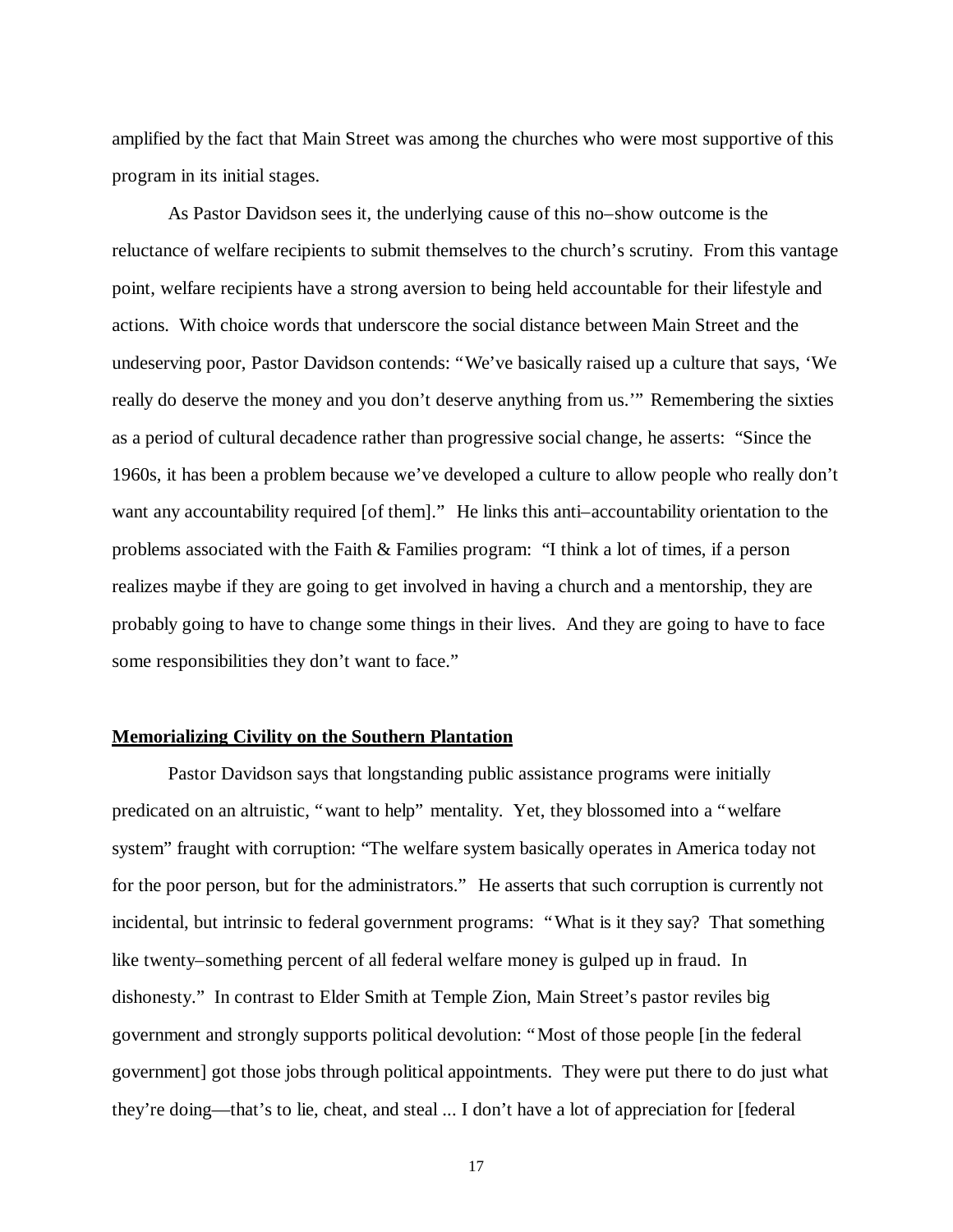amplified by the fact that Main Street was among the churches who were most supportive of this program in its initial stages.

As Pastor Davidson sees it, the underlying cause of this no–show outcome is the reluctance of welfare recipients to submit themselves to the church's scrutiny. From this vantage point, welfare recipients have a strong aversion to being held accountable for their lifestyle and actions. With choice words that underscore the social distance between Main Street and the undeserving poor, Pastor Davidson contends: "We've basically raised up a culture that says, 'We really do deserve the money and you don't deserve anything from us.'" Remembering the sixties as a period of cultural decadence rather than progressive social change, he asserts: "Since the 1960s, it has been a problem because we've developed a culture to allow people who really don't want any accountability required [of them]." He links this anti–accountability orientation to the problems associated with the Faith & Families program: "I think a lot of times, if a person realizes maybe if they are going to get involved in having a church and a mentorship, they are probably going to have to change some things in their lives. And they are going to have to face some responsibilities they don't want to face."

## **Memorializing Civility on the Southern Plantation**

Pastor Davidson says that longstanding public assistance programs were initially predicated on an altruistic, "want to help" mentality. Yet, they blossomed into a "welfare system" fraught with corruption: "The welfare system basically operates in America today not for the poor person, but for the administrators." He asserts that such corruption is currently not incidental, but intrinsic to federal government programs: "What is it they say? That something like twenty–something percent of all federal welfare money is gulped up in fraud. In dishonesty." In contrast to Elder Smith at Temple Zion, Main Street's pastor reviles big government and strongly supports political devolution: "Most of those people [in the federal government] got those jobs through political appointments. They were put there to do just what they're doing— that's to lie, cheat, and steal ... I don't have a lot of appreciation for [federal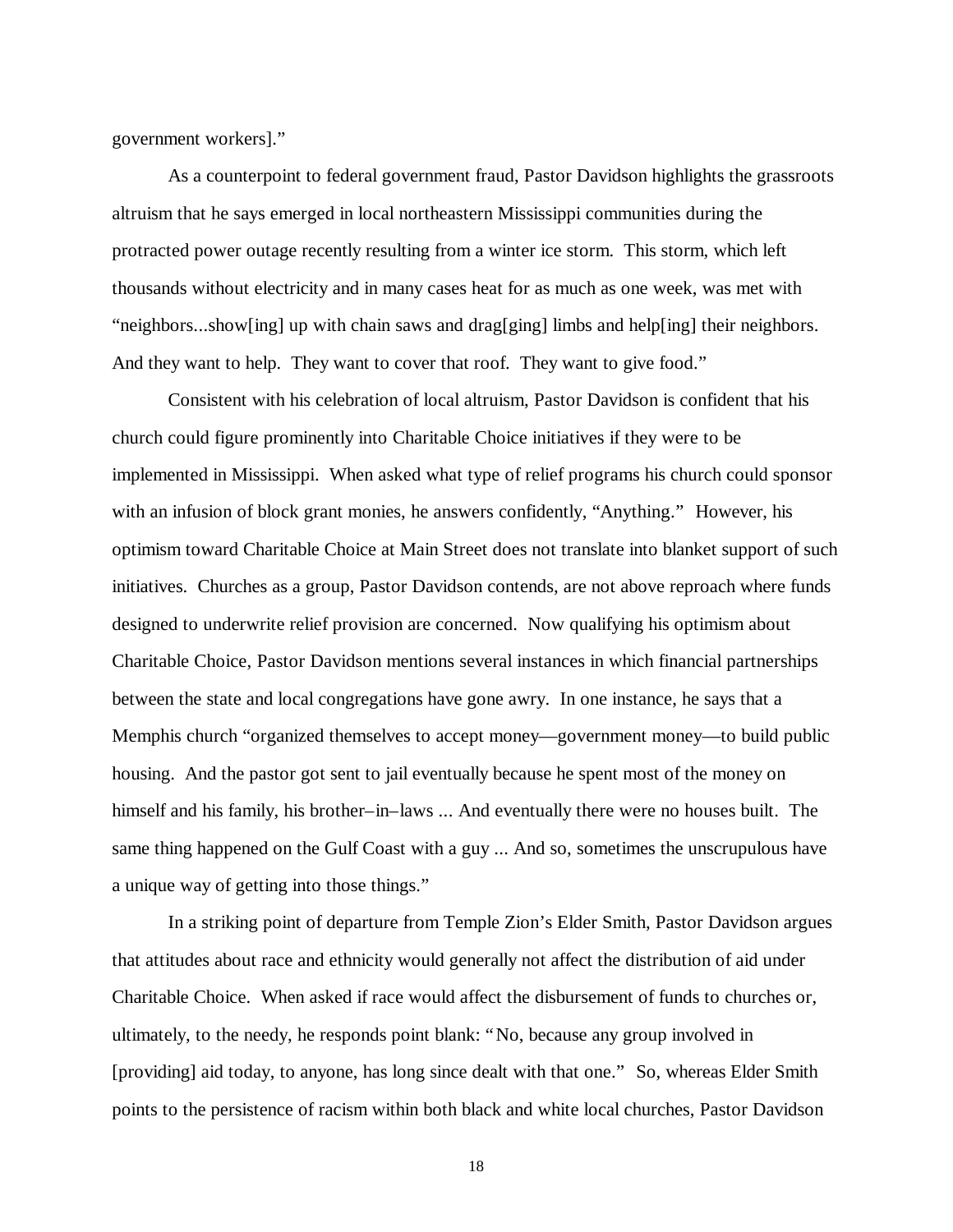government workers]."

As a counterpoint to federal government fraud, Pastor Davidson highlights the grassroots altruism that he says emerged in local northeastern Mississippi communities during the protracted power outage recently resulting from a winter ice storm. This storm, which left thousands without electricity and in many cases heat for as much as one week, was met with "neighbors...show[ing] up with chain saws and drag[ging] limbs and help[ing] their neighbors. And they want to help. They want to cover that roof. They want to give food."

Consistent with his celebration of local altruism, Pastor Davidson is confident that his church could figure prominently into Charitable Choice initiatives if they were to be implemented in Mississippi. When asked what type of relief programs his church could sponsor with an infusion of block grant monies, he answers confidently, "Anything." However, his optimism toward Charitable Choice at Main Street does not translate into blanket support of such initiatives. Churches as a group, Pastor Davidson contends, are not above reproach where funds designed to underwrite relief provision are concerned. Now qualifying his optimism about Charitable Choice, Pastor Davidson mentions several instances in which financial partnerships between the state and local congregations have gone awry. In one instance, he says that a Memphis church "organized themselves to accept money— government money— to build public housing. And the pastor got sent to jail eventually because he spent most of the money on himself and his family, his brother–in–laws ... And eventually there were no houses built. The same thing happened on the Gulf Coast with a guy ... And so, sometimes the unscrupulous have a unique way of getting into those things."

In a striking point of departure from Temple Zion's Elder Smith, Pastor Davidson argues that attitudes about race and ethnicity would generally not affect the distribution of aid under Charitable Choice. When asked if race would affect the disbursement of funds to churches or, ultimately, to the needy, he responds point blank: "No, because any group involved in [providing] aid today, to anyone, has long since dealt with that one." So, whereas Elder Smith points to the persistence of racism within both black and white local churches, Pastor Davidson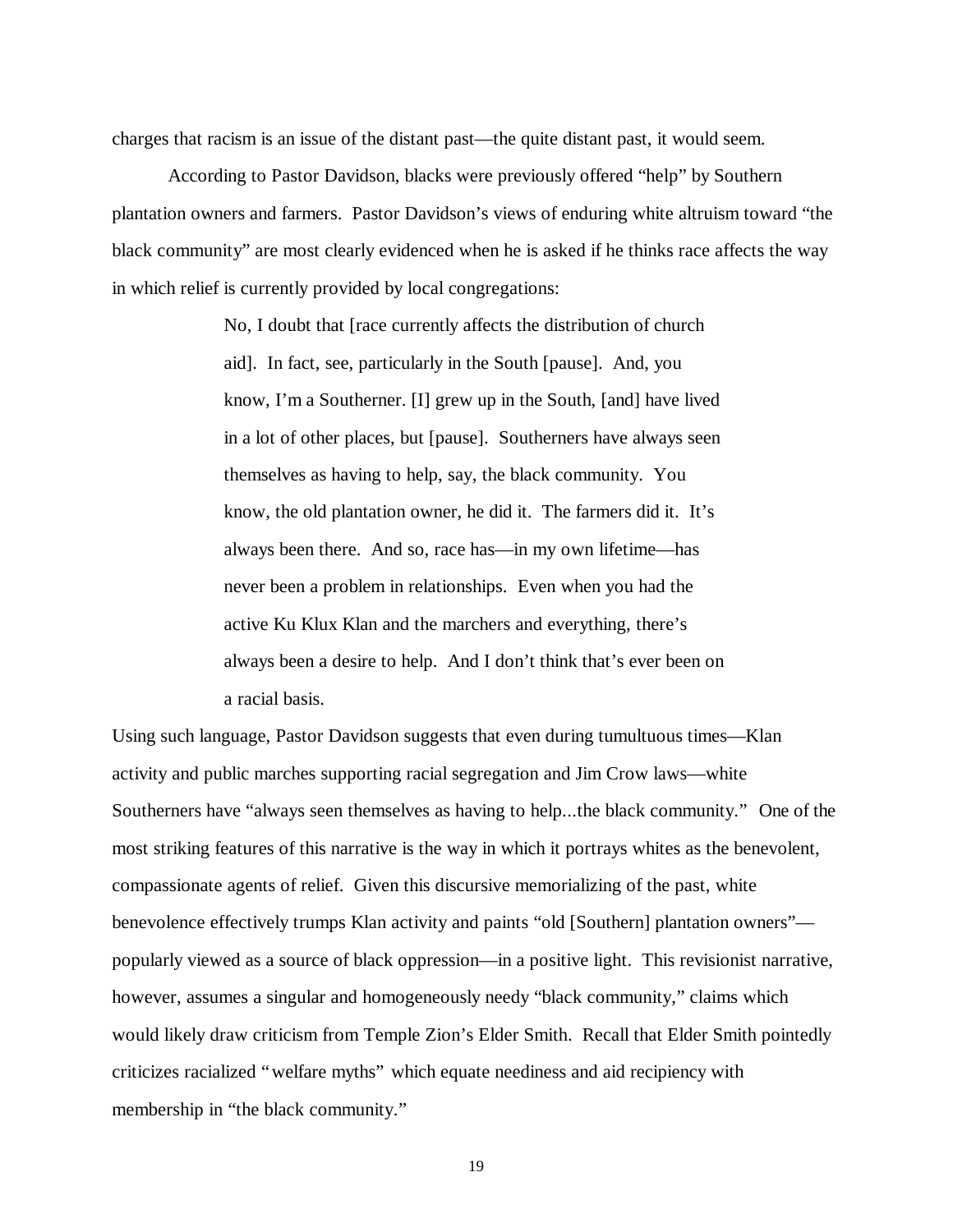charges that racism is an issue of the distant past— the quite distant past, it would seem.

According to Pastor Davidson, blacks were previously offered "help" by Southern plantation owners and farmers. Pastor Davidson's views of enduring white altruism toward "the black community" are most clearly evidenced when he is asked if he thinks race affects the way in which relief is currently provided by local congregations:

> No, I doubt that [race currently affects the distribution of church aid]. In fact, see, particularly in the South [pause]. And, you know, I'm a Southerner. [I] grew up in the South, [and] have lived in a lot of other places, but [pause]. Southerners have always seen themselves as having to help, say, the black community. You know, the old plantation owner, he did it. The farmers did it. It's always been there. And so, race has— in my own lifetime— has never been a problem in relationships. Even when you had the active Ku Klux Klan and the marchers and everything, there's always been a desire to help. And I don't think that's ever been on a racial basis.

Using such language, Pastor Davidson suggests that even during tumultuous times— Klan activity and public marches supporting racial segregation and Jim Crow laws— white Southerners have "always seen themselves as having to help...the black community." One of the most striking features of this narrative is the way in which it portrays whites as the benevolent, compassionate agents of relief. Given this discursive memorializing of the past, white benevolence effectively trumps Klan activity and paints "old [Southern] plantation owners" popularly viewed as a source of black oppression— in a positive light. This revisionist narrative, however, assumes a singular and homogeneously needy "black community," claims which would likely draw criticism from Temple Zion's Elder Smith. Recall that Elder Smith pointedly criticizes racialized "welfare myths" which equate neediness and aid recipiency with membership in "the black community."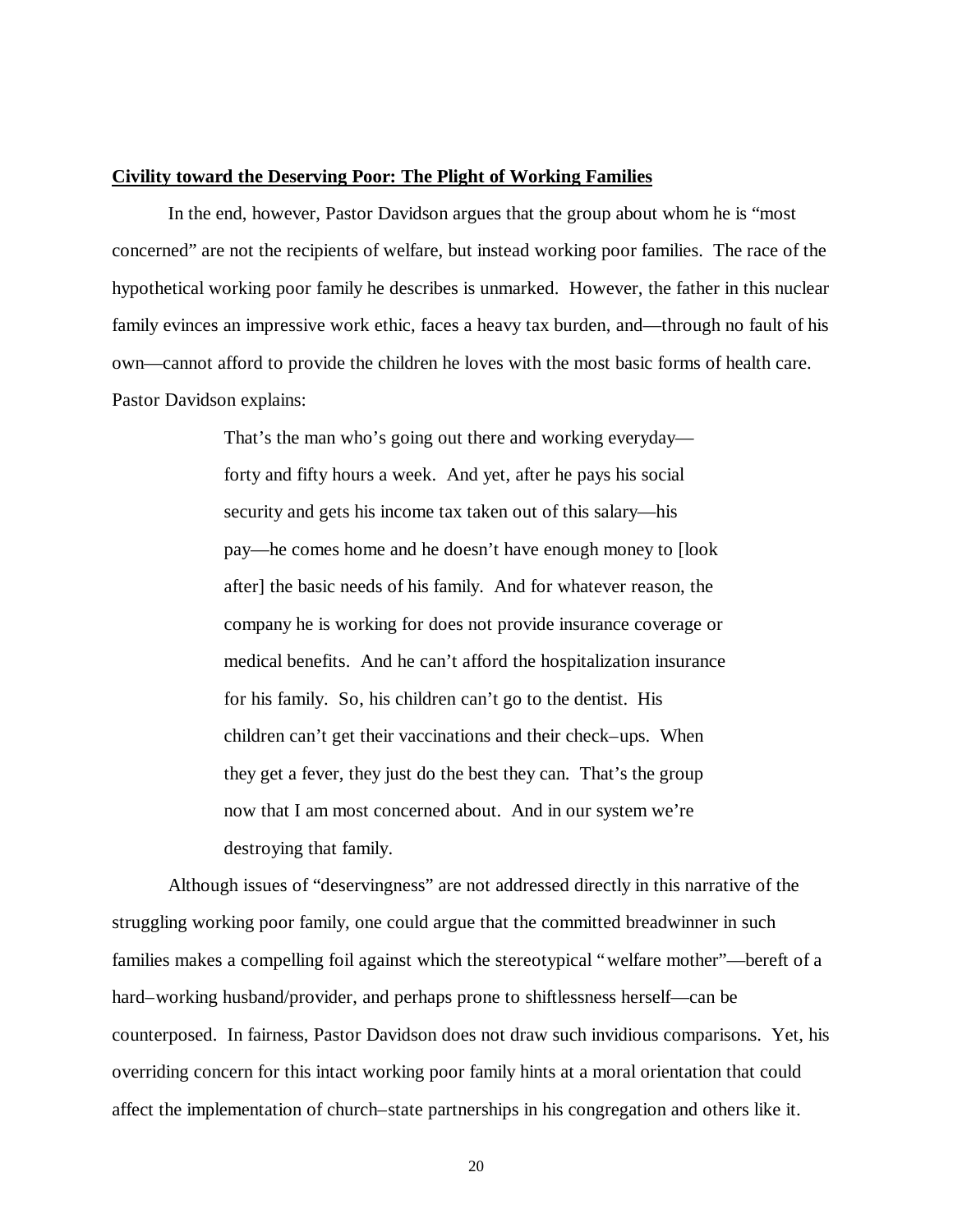### **Civility toward the Deserving Poor: The Plight of Working Families**

In the end, however, Pastor Davidson argues that the group about whom he is "most concerned" are not the recipients of welfare, but instead working poor families. The race of the hypothetical working poor family he describes is unmarked. However, the father in this nuclear family evinces an impressive work ethic, faces a heavy tax burden, and— through no fault of his own— cannot afford to provide the children he loves with the most basic forms of health care. Pastor Davidson explains:

> That's the man who's going out there and working everyday forty and fifty hours a week. And yet, after he pays his social security and gets his income tax taken out of this salary—his pay— he comes home and he doesn't have enough money to [look after] the basic needs of his family. And for whatever reason, the company he is working for does not provide insurance coverage or medical benefits. And he can't afford the hospitalization insurance for his family. So, his children can't go to the dentist. His children can't get their vaccinations and their check–ups. When they get a fever, they just do the best they can. That's the group now that I am most concerned about. And in our system we're destroying that family.

Although issues of "deservingness" are not addressed directly in this narrative of the struggling working poor family, one could argue that the committed breadwinner in such families makes a compelling foil against which the stereotypical "welfare mother"— bereft of a hard–working husband/provider, and perhaps prone to shiftlessness herself—can be counterposed. In fairness, Pastor Davidson does not draw such invidious comparisons. Yet, his overriding concern for this intact working poor family hints at a moral orientation that could affect the implementation of church–state partnerships in his congregation and others like it.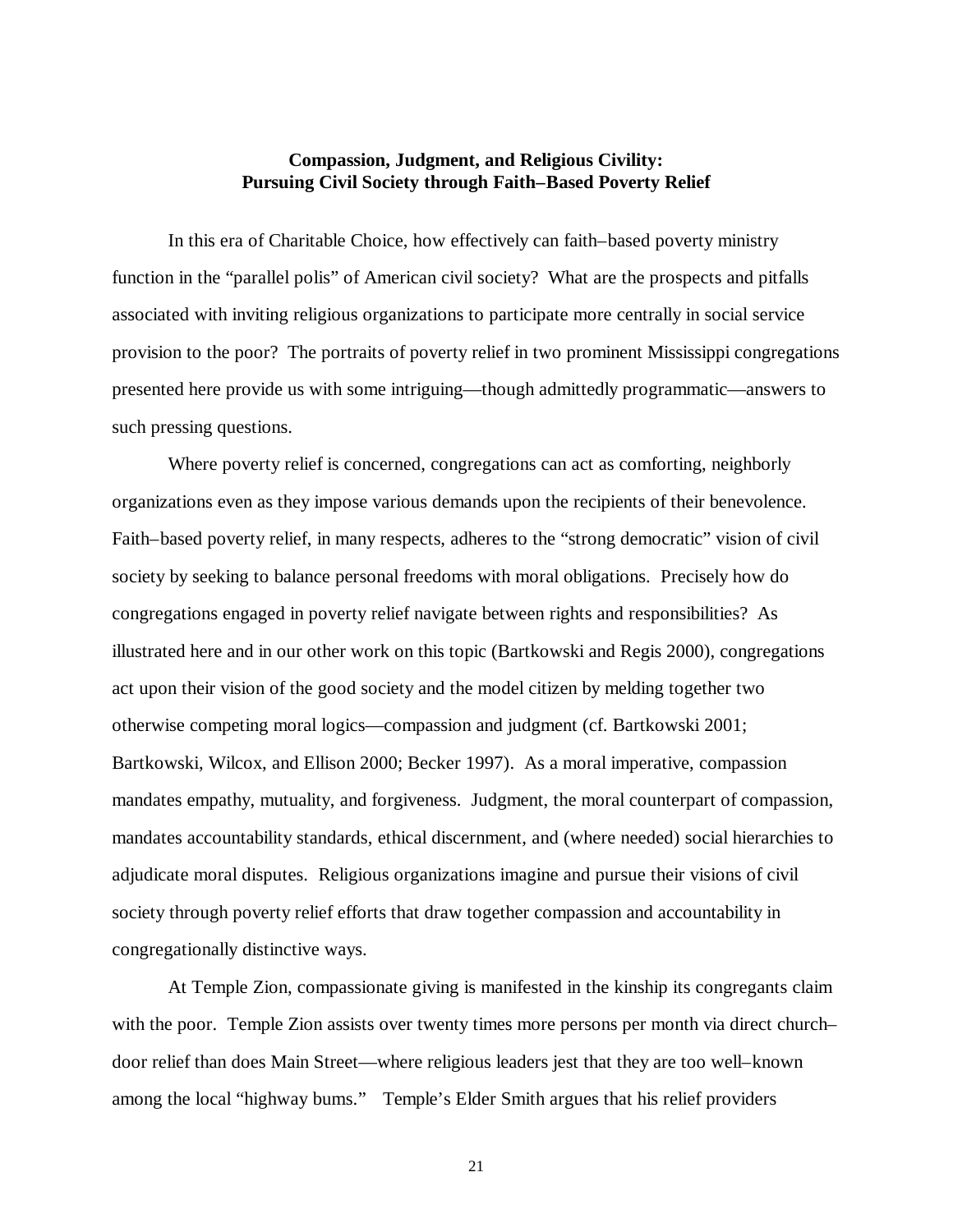# **Compassion, Judgment, and Religious Civility: Pursuing Civil Society through Faith–Based Poverty Relief**

In this era of Charitable Choice, how effectively can faith–based poverty ministry function in the "parallel polis" of American civil society? What are the prospects and pitfalls associated with inviting religious organizations to participate more centrally in social service provision to the poor? The portraits of poverty relief in two prominent Mississippi congregations presented here provide us with some intriguing— though admittedly programmatic— answers to such pressing questions.

Where poverty relief is concerned, congregations can act as comforting, neighborly organizations even as they impose various demands upon the recipients of their benevolence. Faith–based poverty relief, in many respects, adheres to the "strong democratic" vision of civil society by seeking to balance personal freedoms with moral obligations. Precisely how do congregations engaged in poverty relief navigate between rights and responsibilities? As illustrated here and in our other work on this topic (Bartkowski and Regis 2000), congregations act upon their vision of the good society and the model citizen by melding together two otherwise competing moral logics— compassion and judgment (cf. Bartkowski 2001; Bartkowski, Wilcox, and Ellison 2000; Becker 1997). As a moral imperative, compassion mandates empathy, mutuality, and forgiveness. Judgment, the moral counterpart of compassion, mandates accountability standards, ethical discernment, and (where needed) social hierarchies to adjudicate moral disputes. Religious organizations imagine and pursue their visions of civil society through poverty relief efforts that draw together compassion and accountability in congregationally distinctive ways.

At Temple Zion, compassionate giving is manifested in the kinship its congregants claim with the poor. Temple Zion assists over twenty times more persons per month via direct church– door relief than does Main Street— where religious leaders jest that they are too well–known among the local "highway bums." Temple's Elder Smith argues that his relief providers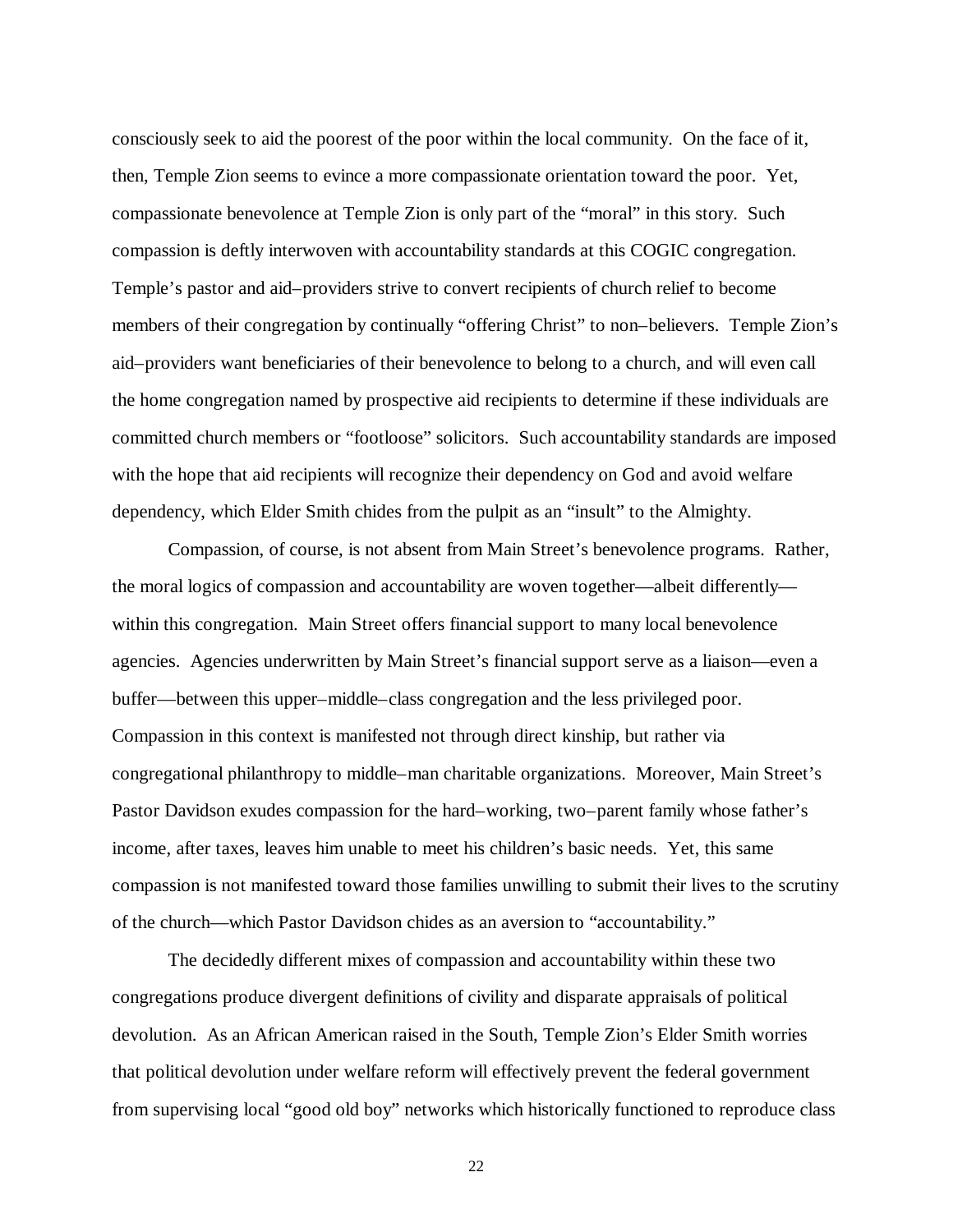consciously seek to aid the poorest of the poor within the local community. On the face of it, then, Temple Zion seems to evince a more compassionate orientation toward the poor. Yet, compassionate benevolence at Temple Zion is only part of the "moral" in this story. Such compassion is deftly interwoven with accountability standards at this COGIC congregation. Temple's pastor and aid–providers strive to convert recipients of church relief to become members of their congregation by continually "offering Christ" to non–believers. Temple Zion's aid–providers want beneficiaries of their benevolence to belong to a church, and will even call the home congregation named by prospective aid recipients to determine if these individuals are committed church members or "footloose" solicitors. Such accountability standards are imposed with the hope that aid recipients will recognize their dependency on God and avoid welfare dependency, which Elder Smith chides from the pulpit as an "insult" to the Almighty.

Compassion, of course, is not absent from Main Street's benevolence programs. Rather, the moral logics of compassion and accountability are woven together— albeit differently within this congregation. Main Street offers financial support to many local benevolence agencies. Agencies underwritten by Main Street's financial support serve as a liaison— even a buffer— between this upper–middle–class congregation and the less privileged poor. Compassion in this context is manifested not through direct kinship, but rather via congregational philanthropy to middle–man charitable organizations. Moreover, Main Street's Pastor Davidson exudes compassion for the hard–working, two–parent family whose father's income, after taxes, leaves him unable to meet his children's basic needs. Yet, this same compassion is not manifested toward those families unwilling to submit their lives to the scrutiny of the church— which Pastor Davidson chides as an aversion to "accountability."

The decidedly different mixes of compassion and accountability within these two congregations produce divergent definitions of civility and disparate appraisals of political devolution. As an African American raised in the South, Temple Zion's Elder Smith worries that political devolution under welfare reform will effectively prevent the federal government from supervising local "good old boy" networks which historically functioned to reproduce class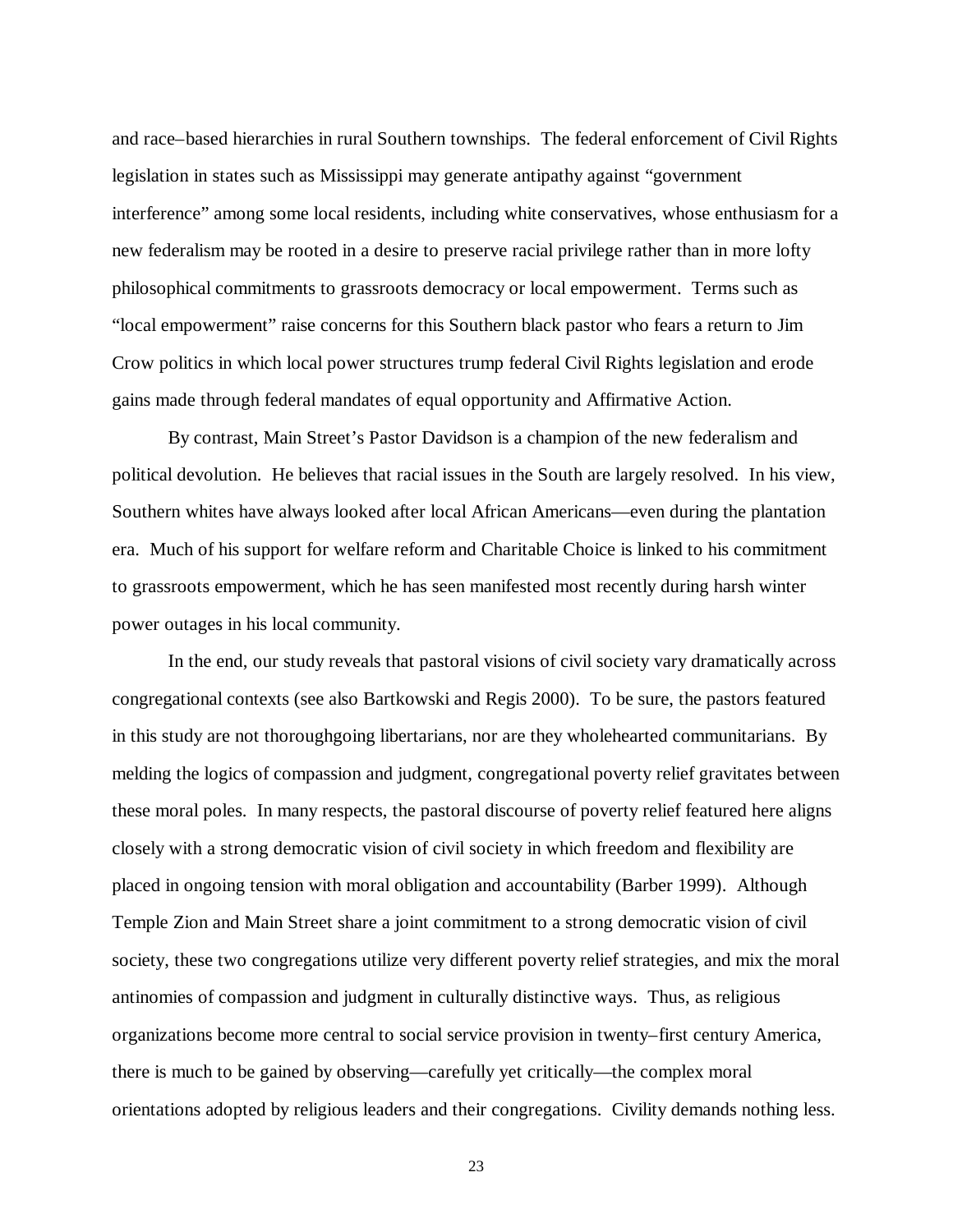and race–based hierarchies in rural Southern townships. The federal enforcement of Civil Rights legislation in states such as Mississippi may generate antipathy against "government interference" among some local residents, including white conservatives, whose enthusiasm for a new federalism may be rooted in a desire to preserve racial privilege rather than in more lofty philosophical commitments to grassroots democracy or local empowerment. Terms such as "local empowerment" raise concerns for this Southern black pastor who fears a return to Jim Crow politics in which local power structures trump federal Civil Rights legislation and erode gains made through federal mandates of equal opportunity and Affirmative Action.

By contrast, Main Street's Pastor Davidson is a champion of the new federalism and political devolution. He believes that racial issues in the South are largely resolved. In his view, Southern whites have always looked after local African Americans— even during the plantation era. Much of his support for welfare reform and Charitable Choice is linked to his commitment to grassroots empowerment, which he has seen manifested most recently during harsh winter power outages in his local community.

In the end, our study reveals that pastoral visions of civil society vary dramatically across congregational contexts (see also Bartkowski and Regis 2000). To be sure, the pastors featured in this study are not thoroughgoing libertarians, nor are they wholehearted communitarians. By melding the logics of compassion and judgment, congregational poverty relief gravitates between these moral poles. In many respects, the pastoral discourse of poverty relief featured here aligns closely with a strong democratic vision of civil society in which freedom and flexibility are placed in ongoing tension with moral obligation and accountability (Barber 1999). Although Temple Zion and Main Street share a joint commitment to a strong democratic vision of civil society, these two congregations utilize very different poverty relief strategies, and mix the moral antinomies of compassion and judgment in culturally distinctive ways. Thus, as religious organizations become more central to social service provision in twenty–first century America, there is much to be gained by observing— carefully yet critically— the complex moral orientations adopted by religious leaders and their congregations. Civility demands nothing less.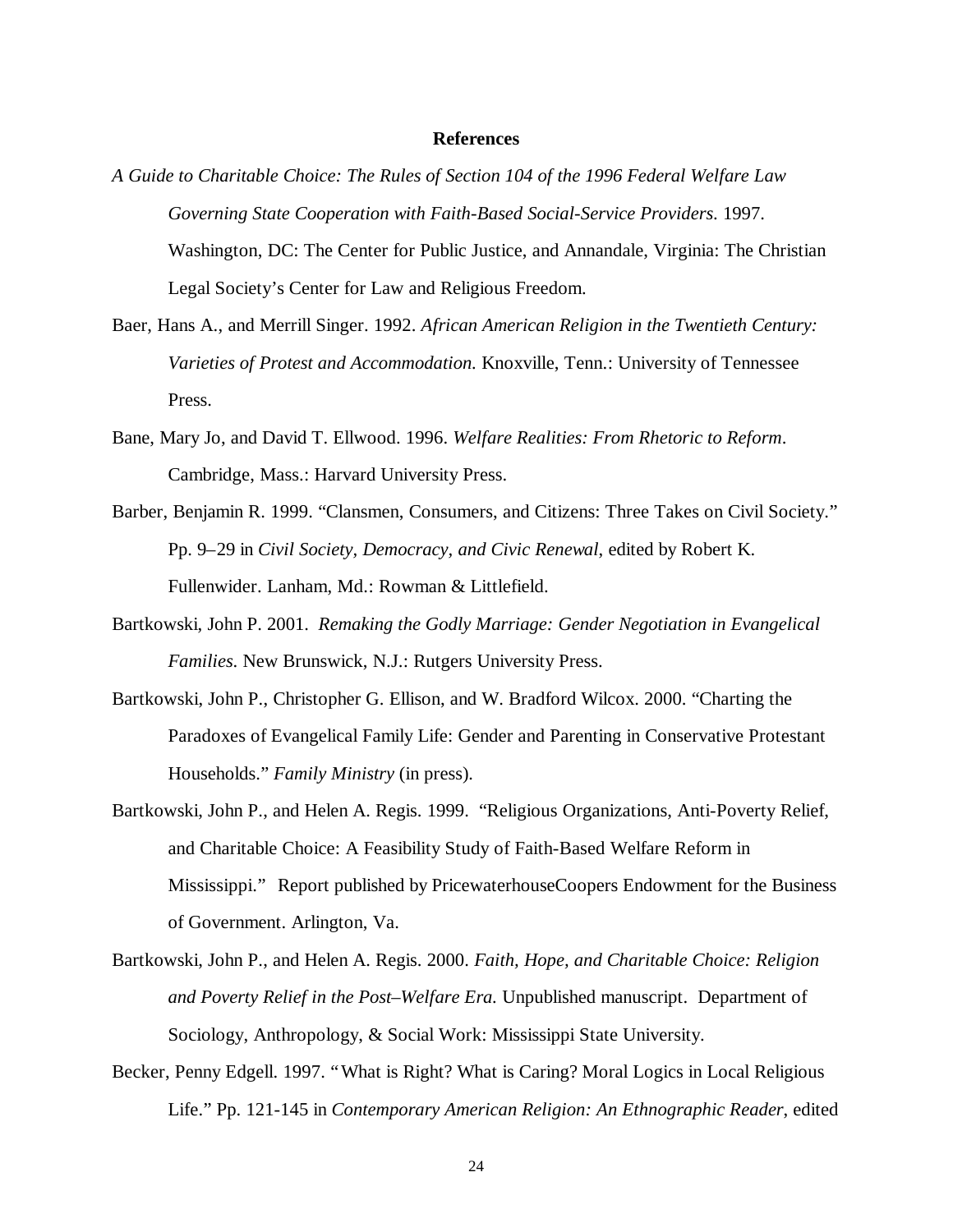## **References**

- *A Guide to Charitable Choice: The Rules of Section 104 of the 1996 Federal Welfare Law Governing State Cooperation with Faith-Based Social-Service Providers*. 1997. Washington, DC: The Center for Public Justice, and Annandale, Virginia: The Christian Legal Society's Center for Law and Religious Freedom.
- Baer, Hans A., and Merrill Singer. 1992. *African American Religion in the Twentieth Century: Varieties of Protest and Accommodation.* Knoxville, Tenn.: University of Tennessee Press.
- Bane, Mary Jo, and David T. Ellwood. 1996. *Welfare Realities: From Rhetoric to Reform*. Cambridge, Mass.: Harvard University Press.
- Barber, Benjamin R. 1999. "Clansmen, Consumers, and Citizens: Three Takes on Civil Society." Pp. 9–29 in *Civil Society, Democracy, and Civic Renewal*, edited by Robert K. Fullenwider. Lanham, Md.: Rowman & Littlefield.
- Bartkowski, John P. 2001. *Remaking the Godly Marriage: Gender Negotiation in Evangelical Families*. New Brunswick, N.J.: Rutgers University Press.
- Bartkowski, John P., Christopher G. Ellison, and W. Bradford Wilcox. 2000. "Charting the Paradoxes of Evangelical Family Life: Gender and Parenting in Conservative Protestant Households." *Family Ministry* (in press)*.*
- Bartkowski, John P., and Helen A. Regis. 1999. "Religious Organizations, Anti-Poverty Relief, and Charitable Choice: A Feasibility Study of Faith-Based Welfare Reform in Mississippi." Report published by PricewaterhouseCoopers Endowment for the Business of Government. Arlington, Va.
- Bartkowski, John P., and Helen A. Regis. 2000. *Faith, Hope, and Charitable Choice: Religion and Poverty Relief in the Post–Welfare Era.* Unpublished manuscript. Department of Sociology, Anthropology, & Social Work: Mississippi State University.
- Becker, Penny Edgell. 1997. "What is Right? What is Caring? Moral Logics in Local Religious Life." Pp. 121-145 in *Contemporary American Religion: An Ethnographic Reader*, edited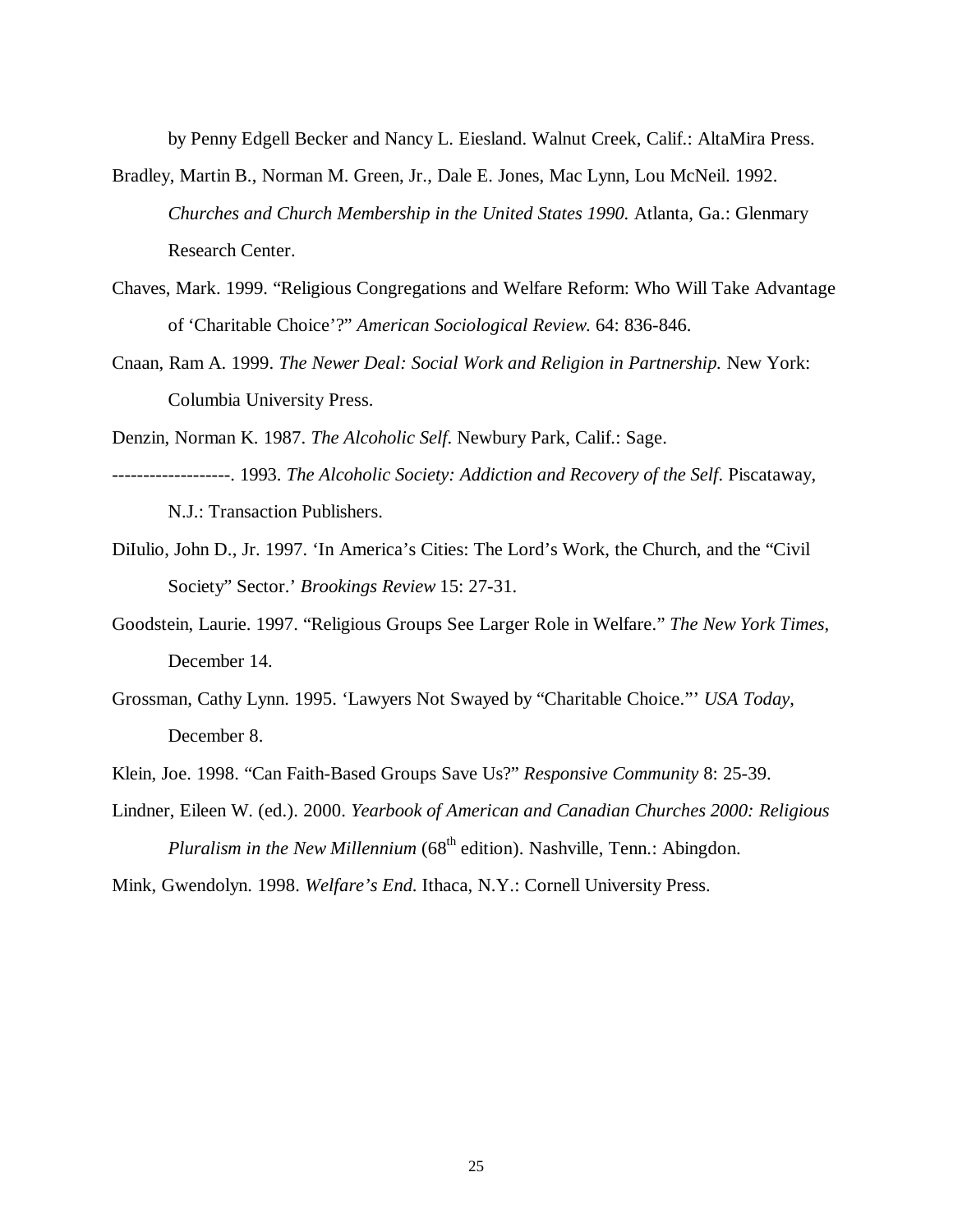by Penny Edgell Becker and Nancy L. Eiesland. Walnut Creek, Calif.: AltaMira Press.

- Bradley, Martin B., Norman M. Green, Jr., Dale E. Jones, Mac Lynn, Lou McNeil. 1992. *Churches and Church Membership in the United States 1990.* Atlanta, Ga.: Glenmary Research Center.
- Chaves, Mark. 1999. "Religious Congregations and Welfare Reform: Who Will Take Advantage of 'Charitable Choice'?" *American Sociological Review*. 64: 836-846.
- Cnaan, Ram A. 1999. *The Newer Deal: Social Work and Religion in Partnership.* New York: Columbia University Press.
- Denzin, Norman K. 1987. *The Alcoholic Self.* Newbury Park, Calif.: Sage.
- -------------------. 1993. *The Alcoholic Society: Addiction and Recovery of the Self.* Piscataway, N.J.: Transaction Publishers.
- DiIulio, John D., Jr. 1997. 'In America's Cities: The Lord's Work, the Church, and the "Civil Society" Sector.' *Brookings Review* 15: 27-31.
- Goodstein, Laurie. 1997. "Religious Groups See Larger Role in Welfare." *The New York Times*, December 14.
- Grossman, Cathy Lynn. 1995. 'Lawyers Not Swayed by "Charitable Choice."' *USA Today*, December 8.
- Klein, Joe. 1998. "Can Faith-Based Groups Save Us?" *Responsive Community* 8: 25-39.
- Lindner, Eileen W. (ed.). 2000. *Yearbook of American and Canadian Churches 2000: Religious Pluralism in the New Millennium* (68<sup>th</sup> edition). Nashville, Tenn.: Abingdon.

Mink, Gwendolyn. 1998. *Welfare's End*. Ithaca, N.Y.: Cornell University Press.